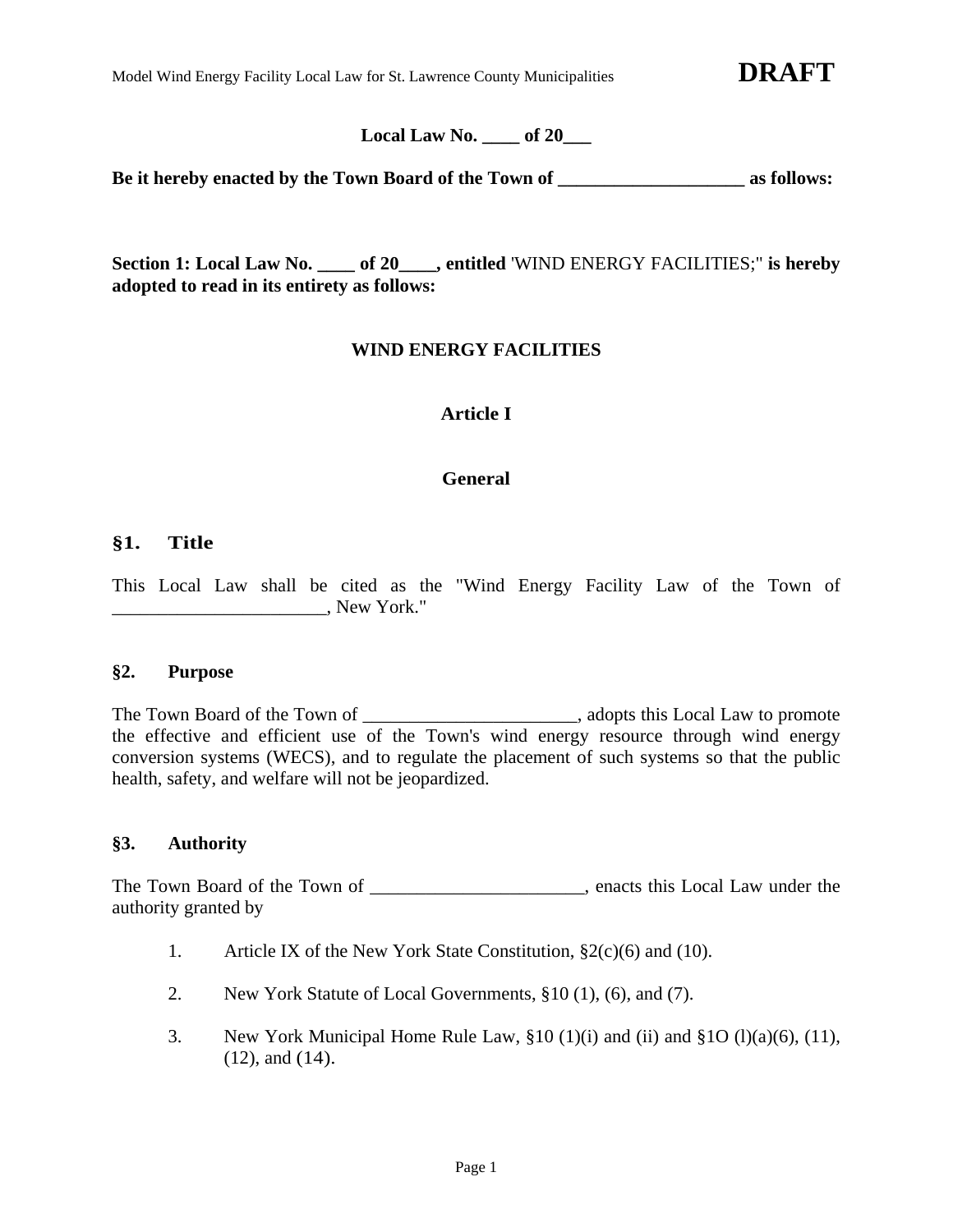Model Wind Energy Facility Local Law for St. Lawrence County Municipalities **DRAFT** 

**Local Law No. \_\_\_\_ of 20\_\_\_** 

**Be it hereby enacted by the Town Board of the Town of \_\_\_\_\_\_\_\_\_\_\_\_\_\_\_\_\_\_\_\_ as follows:** 

**Section 1: Local Law No. \_\_\_\_ of 20\_\_\_\_, entitled** 'WIND ENERGY FACILITIES;" **is hereby adopted to read in its entirety as follows:** 

# **WIND ENERGY FACILITIES**

# **Article I**

# **General**

# **§1. Title**

This Local Law shall be cited as the "Wind Energy Facility Law of the Town of \_\_\_\_\_\_\_\_\_\_\_\_\_\_\_\_\_\_\_\_\_\_\_, New York."

#### **§2. Purpose**

The Town Board of the Town of \_\_\_\_\_\_\_\_\_\_\_\_\_\_\_\_\_\_\_\_\_\_\_\_\_, adopts this Local Law to promote the effective and efficient use of the Town's wind energy resource through wind energy conversion systems (WECS), and to regulate the placement of such systems so that the public health, safety, and welfare will not be jeopardized.

### **§3. Authority**

The Town Board of the Town of \_\_\_\_\_\_\_\_\_\_\_\_\_\_\_\_\_\_\_, enacts this Local Law under the authority granted by

- 1. Article IX of the New York State Constitution, §2(c)(6) and (10).
- 2. New York Statute of Local Governments, §10 (1), (6), and (7).
- 3. New York Municipal Home Rule Law,  $\S 10 (1)(i)$  and  $(i)$  and  $\S 10 (1)(a)(6)$ ,  $(11)$ , (12), and (14).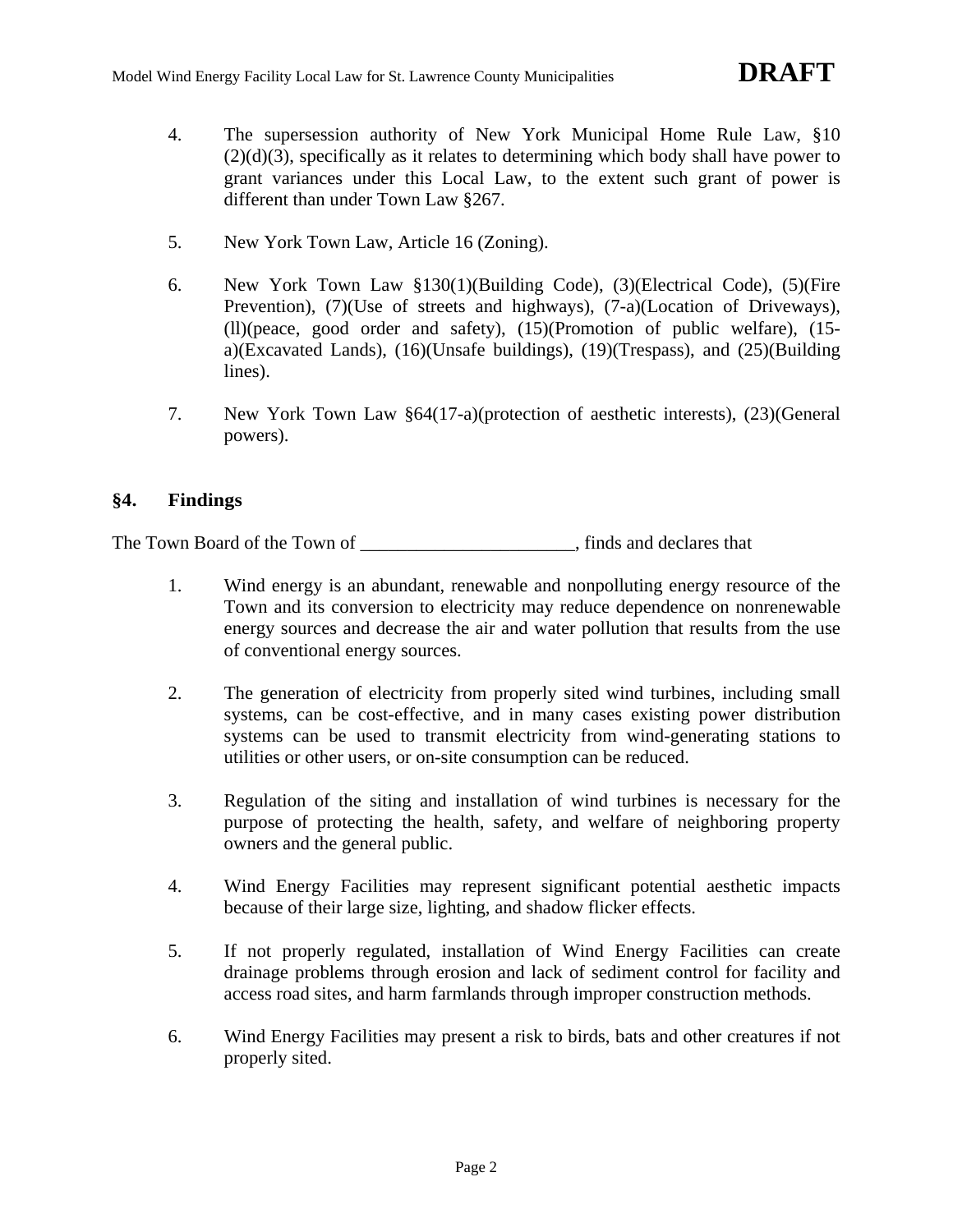- 4. The supersession authority of New York Municipal Home Rule Law, §10 (2)(d)(3), specifically as it relates to determining which body shall have power to grant variances under this Local Law, to the extent such grant of power is different than under Town Law §267.
- 5. New York Town Law, Article 16 (Zoning).
- 6. New York Town Law §130(1)(Building Code), (3)(Electrical Code), (5)(Fire Prevention), (7)(Use of streets and highways), (7-a)(Location of Driveways), (ll)(peace, good order and safety), (15)(Promotion of public welfare), (15 a)(Excavated Lands), (16)(Unsafe buildings), (19)(Trespass), and (25)(Building lines).
- 7. New York Town Law §64(17-a)(protection of aesthetic interests), (23)(General powers).

# **§4. Findings**

The Town Board of the Town of \_\_\_\_\_\_\_\_\_\_\_\_\_\_\_\_\_\_\_\_\_\_\_, finds and declares that

- 1. Wind energy is an abundant, renewable and nonpolluting energy resource of the Town and its conversion to electricity may reduce dependence on nonrenewable energy sources and decrease the air and water pollution that results from the use of conventional energy sources.
- 2. The generation of electricity from properly sited wind turbines, including small systems, can be cost-effective, and in many cases existing power distribution systems can be used to transmit electricity from wind-generating stations to utilities or other users, or on-site consumption can be reduced.
- 3. Regulation of the siting and installation of wind turbines is necessary for the purpose of protecting the health, safety, and welfare of neighboring property owners and the general public.
- 4. Wind Energy Facilities may represent significant potential aesthetic impacts because of their large size, lighting, and shadow flicker effects.
- 5. If not properly regulated, installation of Wind Energy Facilities can create drainage problems through erosion and lack of sediment control for facility and access road sites, and harm farmlands through improper construction methods.
- 6. Wind Energy Facilities may present a risk to birds, bats and other creatures if not properly sited.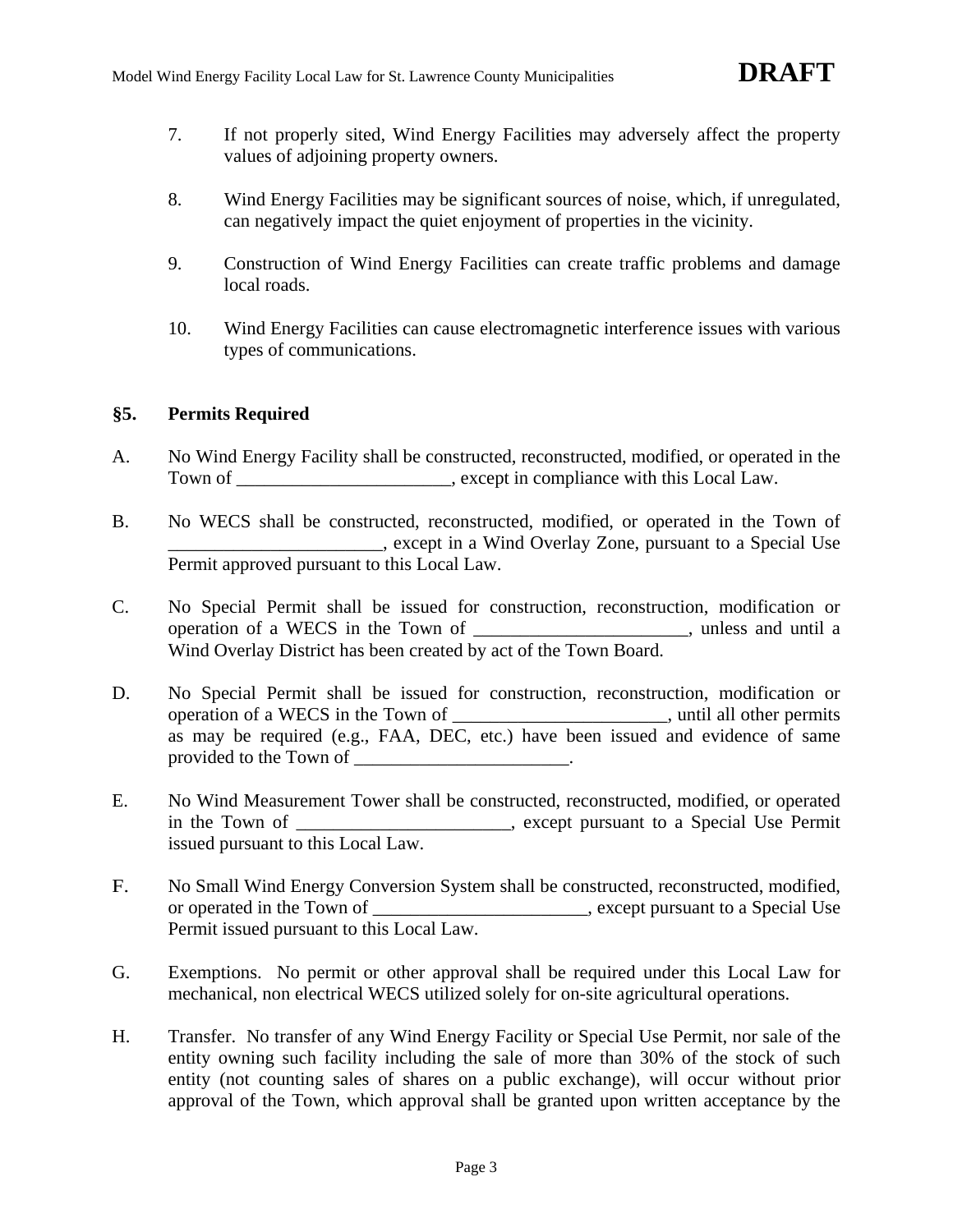- 7. If not properly sited, Wind Energy Facilities may adversely affect the property values of adjoining property owners.
- 8. Wind Energy Facilities may be significant sources of noise, which, if unregulated, can negatively impact the quiet enjoyment of properties in the vicinity.
- 9. Construction of Wind Energy Facilities can create traffic problems and damage local roads.
- 10. Wind Energy Facilities can cause electromagnetic interference issues with various types of communications.

# **§5. Permits Required**

- A. No Wind Energy Facility shall be constructed, reconstructed, modified, or operated in the Town of \_\_\_\_\_\_\_\_\_\_\_\_\_\_\_\_\_\_\_\_, except in compliance with this Local Law.
- B. No WECS shall be constructed, reconstructed, modified, or operated in the Town of \_\_\_\_\_\_\_\_\_\_\_\_\_\_\_\_\_\_\_\_\_\_\_, except in a Wind Overlay Zone, pursuant to a Special Use Permit approved pursuant to this Local Law.
- C. No Special Permit shall be issued for construction, reconstruction, modification or operation of a WECS in the Town of \_\_\_\_\_\_\_\_\_\_\_\_\_\_\_\_\_\_\_\_\_\_\_, unless and until a Wind Overlay District has been created by act of the Town Board.
- D. No Special Permit shall be issued for construction, reconstruction, modification or operation of a WECS in the Town of \_\_\_\_\_\_\_\_\_\_\_\_\_\_\_\_\_\_\_\_\_\_\_, until all other permits as may be required (e.g., FAA, DEC, etc.) have been issued and evidence of same provided to the Town of \_\_\_\_\_\_\_\_\_\_\_\_\_\_\_\_\_\_\_.
- E. No Wind Measurement Tower shall be constructed, reconstructed, modified, or operated in the Town of \_\_\_\_\_\_\_\_\_\_\_\_\_\_\_\_\_\_\_\_, except pursuant to a Special Use Permit issued pursuant to this Local Law.
- F. No Small Wind Energy Conversion System shall be constructed, reconstructed, modified, or operated in the Town of \_\_\_\_\_\_\_\_\_\_\_\_\_\_\_\_\_\_\_\_\_\_\_, except pursuant to a Special Use Permit issued pursuant to this Local Law.
- G. Exemptions. No permit or other approval shall be required under this Local Law for mechanical, non electrical WECS utilized solely for on-site agricultural operations.
- H. Transfer. No transfer of any Wind Energy Facility or Special Use Permit, nor sale of the entity owning such facility including the sale of more than 30% of the stock of such entity (not counting sales of shares on a public exchange), will occur without prior approval of the Town, which approval shall be granted upon written acceptance by the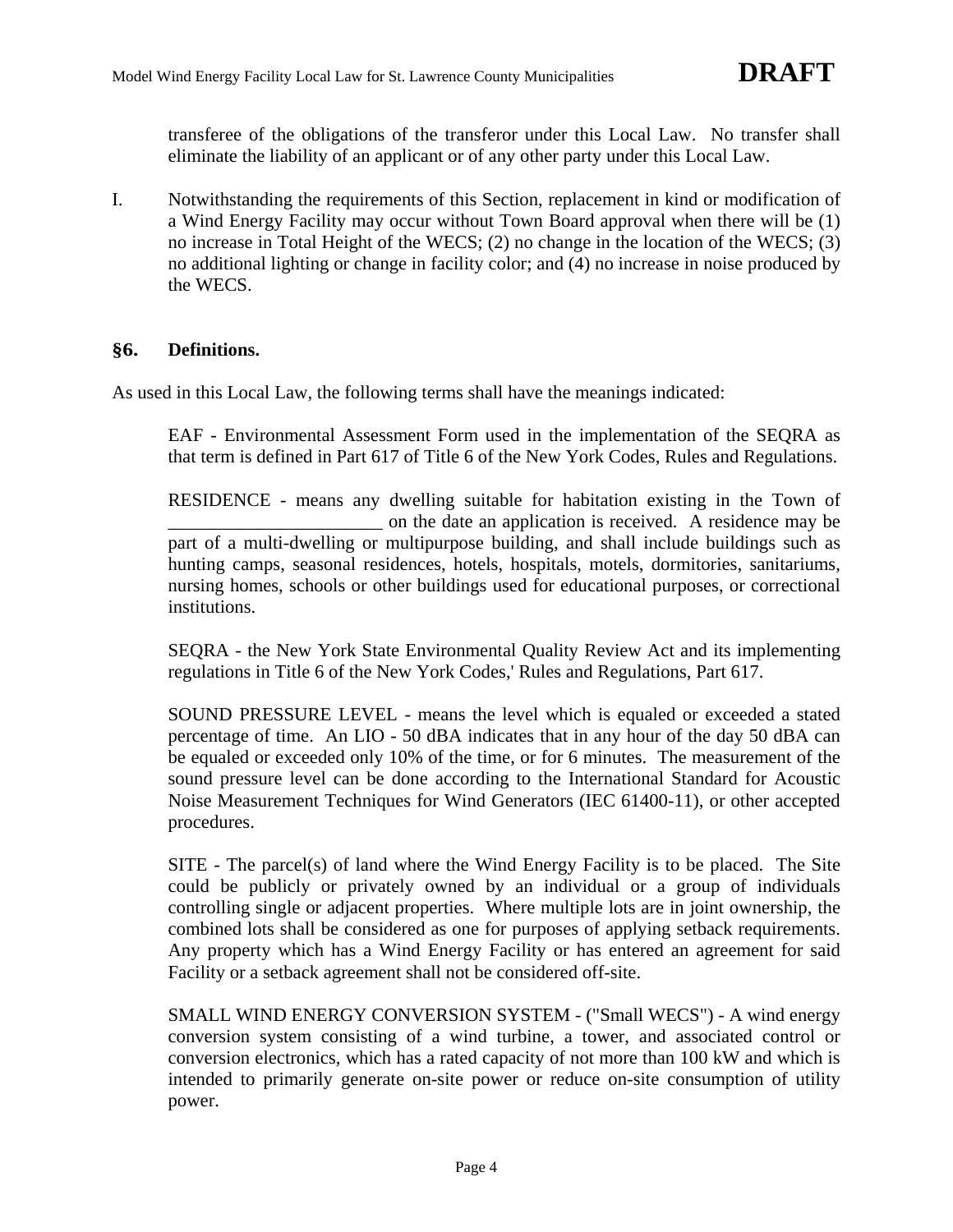transferee of the obligations of the transferor under this Local Law. No transfer shall eliminate the liability of an applicant or of any other party under this Local Law.

I. Notwithstanding the requirements of this Section, replacement in kind or modification of a Wind Energy Facility may occur without Town Board approval when there will be (1) no increase in Total Height of the WECS; (2) no change in the location of the WECS; (3) no additional lighting or change in facility color; and (4) no increase in noise produced by the WECS.

# **§6. Definitions.**

As used in this Local Law, the following terms shall have the meanings indicated:

EAF - Environmental Assessment Form used in the implementation of the SEQRA as that term is defined in Part 617 of Title 6 of the New York Codes, Rules and Regulations.

RESIDENCE - means any dwelling suitable for habitation existing in the Town of \_\_\_\_\_\_\_\_\_\_\_\_\_\_\_\_\_\_\_\_\_\_\_ on the date an application is received. A residence may be part of a multi-dwelling or multipurpose building, and shall include buildings such as hunting camps, seasonal residences, hotels, hospitals, motels, dormitories, sanitariums, nursing homes, schools or other buildings used for educational purposes, or correctional institutions.

SEQRA - the New York State Environmental Quality Review Act and its implementing regulations in Title 6 of the New York Codes,' Rules and Regulations, Part 617.

SOUND PRESSURE LEVEL - means the level which is equaled or exceeded a stated percentage of time. An LIO - 50 dBA indicates that in any hour of the day 50 dBA can be equaled or exceeded only 10% of the time, or for 6 minutes. The measurement of the sound pressure level can be done according to the International Standard for Acoustic Noise Measurement Techniques for Wind Generators (IEC 61400-11), or other accepted procedures.

SITE - The parcel(s) of land where the Wind Energy Facility is to be placed. The Site could be publicly or privately owned by an individual or a group of individuals controlling single or adjacent properties. Where multiple lots are in joint ownership, the combined lots shall be considered as one for purposes of applying setback requirements. Any property which has a Wind Energy Facility or has entered an agreement for said Facility or a setback agreement shall not be considered off-site.

SMALL WIND ENERGY CONVERSION SYSTEM - ("Small WECS") - A wind energy conversion system consisting of a wind turbine, a tower, and associated control or conversion electronics, which has a rated capacity of not more than 100 kW and which is intended to primarily generate on-site power or reduce on-site consumption of utility power.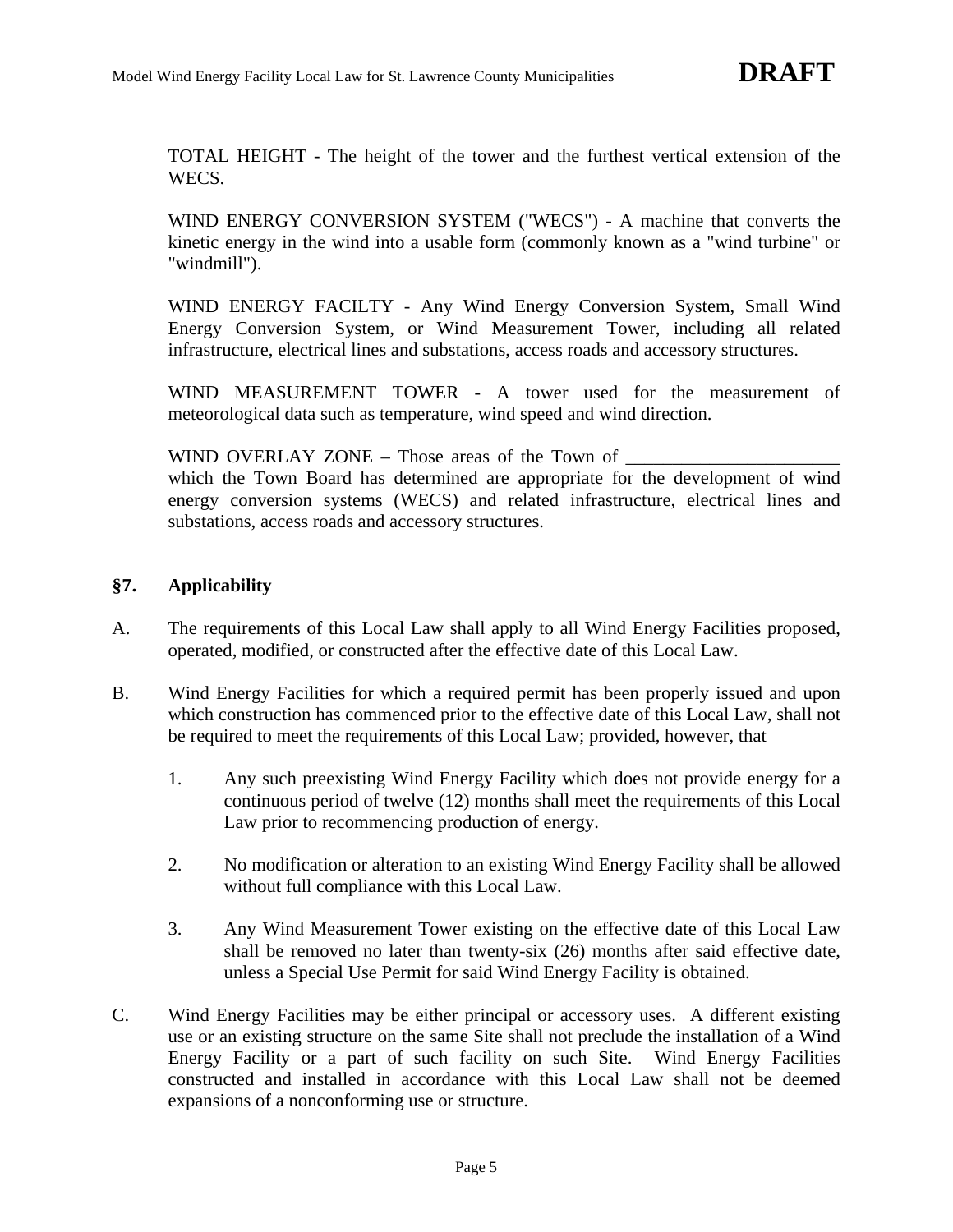TOTAL HEIGHT - The height of the tower and the furthest vertical extension of the WECS.

WIND ENERGY CONVERSION SYSTEM ("WECS") - A machine that converts the kinetic energy in the wind into a usable form (commonly known as a "wind turbine" or "windmill").

WIND ENERGY FACILTY - Any Wind Energy Conversion System, Small Wind Energy Conversion System, or Wind Measurement Tower, including all related infrastructure, electrical lines and substations, access roads and accessory structures.

WIND MEASUREMENT TOWER - A tower used for the measurement of meteorological data such as temperature, wind speed and wind direction.

WIND OVERLAY ZONE – Those areas of the Town of

which the Town Board has determined are appropriate for the development of wind energy conversion systems (WECS) and related infrastructure, electrical lines and substations, access roads and accessory structures.

# **§7. Applicability**

- A. The requirements of this Local Law shall apply to all Wind Energy Facilities proposed, operated, modified, or constructed after the effective date of this Local Law.
- B. Wind Energy Facilities for which a required permit has been properly issued and upon which construction has commenced prior to the effective date of this Local Law, shall not be required to meet the requirements of this Local Law; provided, however, that
	- 1. Any such preexisting Wind Energy Facility which does not provide energy for a continuous period of twelve (12) months shall meet the requirements of this Local Law prior to recommencing production of energy.
	- 2. No modification or alteration to an existing Wind Energy Facility shall be allowed without full compliance with this Local Law.
	- 3. Any Wind Measurement Tower existing on the effective date of this Local Law shall be removed no later than twenty-six (26) months after said effective date, unless a Special Use Permit for said Wind Energy Facility is obtained.
- C. Wind Energy Facilities may be either principal or accessory uses. A different existing use or an existing structure on the same Site shall not preclude the installation of a Wind Energy Facility or a part of such facility on such Site. Wind Energy Facilities constructed and installed in accordance with this Local Law shall not be deemed expansions of a nonconforming use or structure.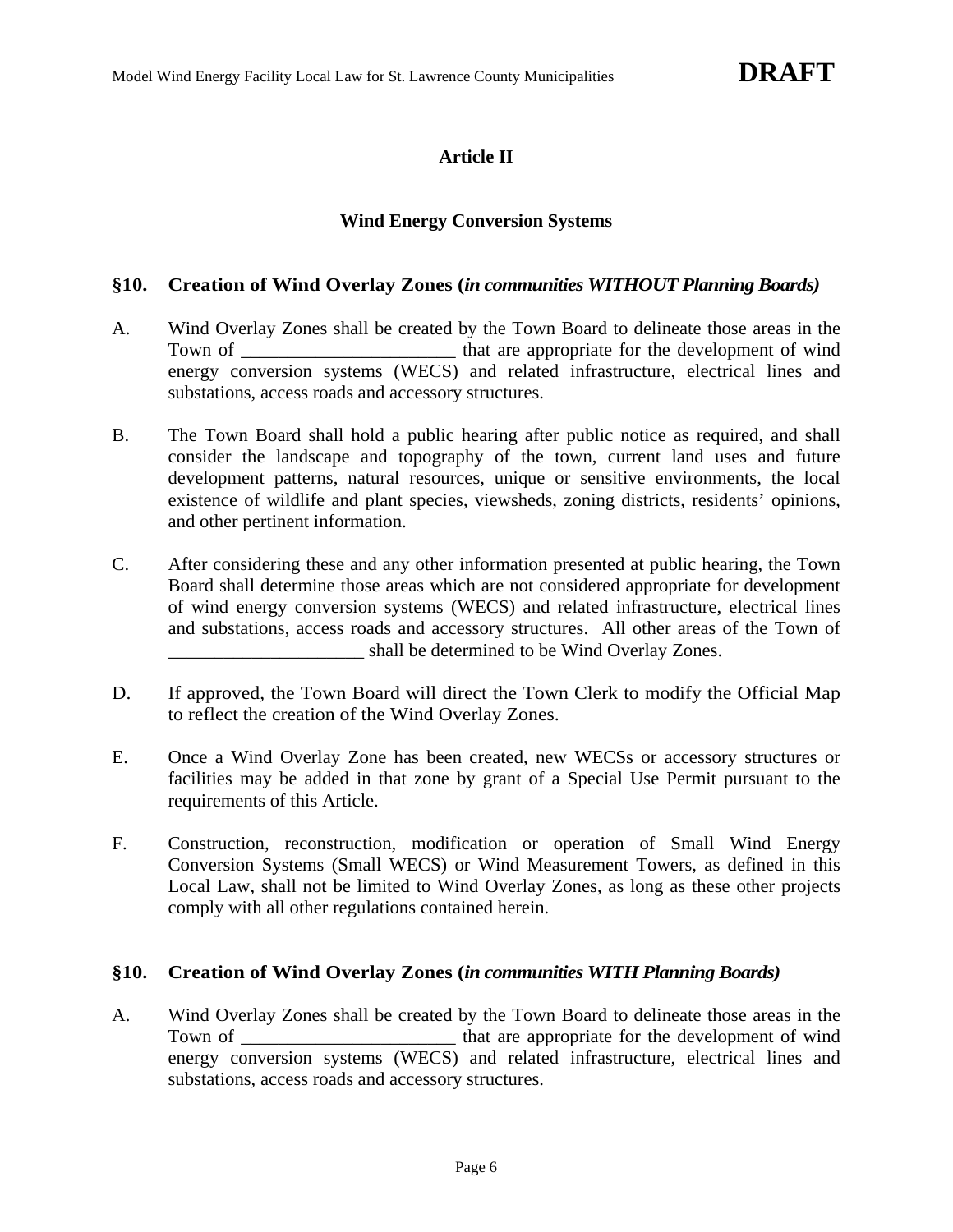# **Article II**

#### **Wind Energy Conversion Systems**

#### **§10. Creation of Wind Overlay Zones (***in communities WITHOUT Planning Boards)*

- A. Wind Overlay Zones shall be created by the Town Board to delineate those areas in the Town of \_\_\_\_\_\_\_\_\_\_\_\_\_\_\_\_\_\_\_\_\_\_\_\_\_ that are appropriate for the development of wind energy conversion systems (WECS) and related infrastructure, electrical lines and substations, access roads and accessory structures.
- B. The Town Board shall hold a public hearing after public notice as required, and shall consider the landscape and topography of the town, current land uses and future development patterns, natural resources, unique or sensitive environments, the local existence of wildlife and plant species, viewsheds, zoning districts, residents' opinions, and other pertinent information.
- C. After considering these and any other information presented at public hearing, the Town Board shall determine those areas which are not considered appropriate for development of wind energy conversion systems (WECS) and related infrastructure, electrical lines and substations, access roads and accessory structures. All other areas of the Town of \_\_\_\_\_\_\_\_\_\_\_\_\_\_\_\_\_\_\_\_\_ shall be determined to be Wind Overlay Zones.
- D. If approved, the Town Board will direct the Town Clerk to modify the Official Map to reflect the creation of the Wind Overlay Zones.
- E. Once a Wind Overlay Zone has been created, new WECSs or accessory structures or facilities may be added in that zone by grant of a Special Use Permit pursuant to the requirements of this Article.
- F. Construction, reconstruction, modification or operation of Small Wind Energy Conversion Systems (Small WECS) or Wind Measurement Towers, as defined in this Local Law, shall not be limited to Wind Overlay Zones, as long as these other projects comply with all other regulations contained herein.

#### **§10. Creation of Wind Overlay Zones (***in communities WITH Planning Boards)*

A. Wind Overlay Zones shall be created by the Town Board to delineate those areas in the Town of \_\_\_\_\_\_\_\_\_\_\_\_\_\_\_\_\_\_\_\_\_\_\_ that are appropriate for the development of wind energy conversion systems (WECS) and related infrastructure, electrical lines and substations, access roads and accessory structures.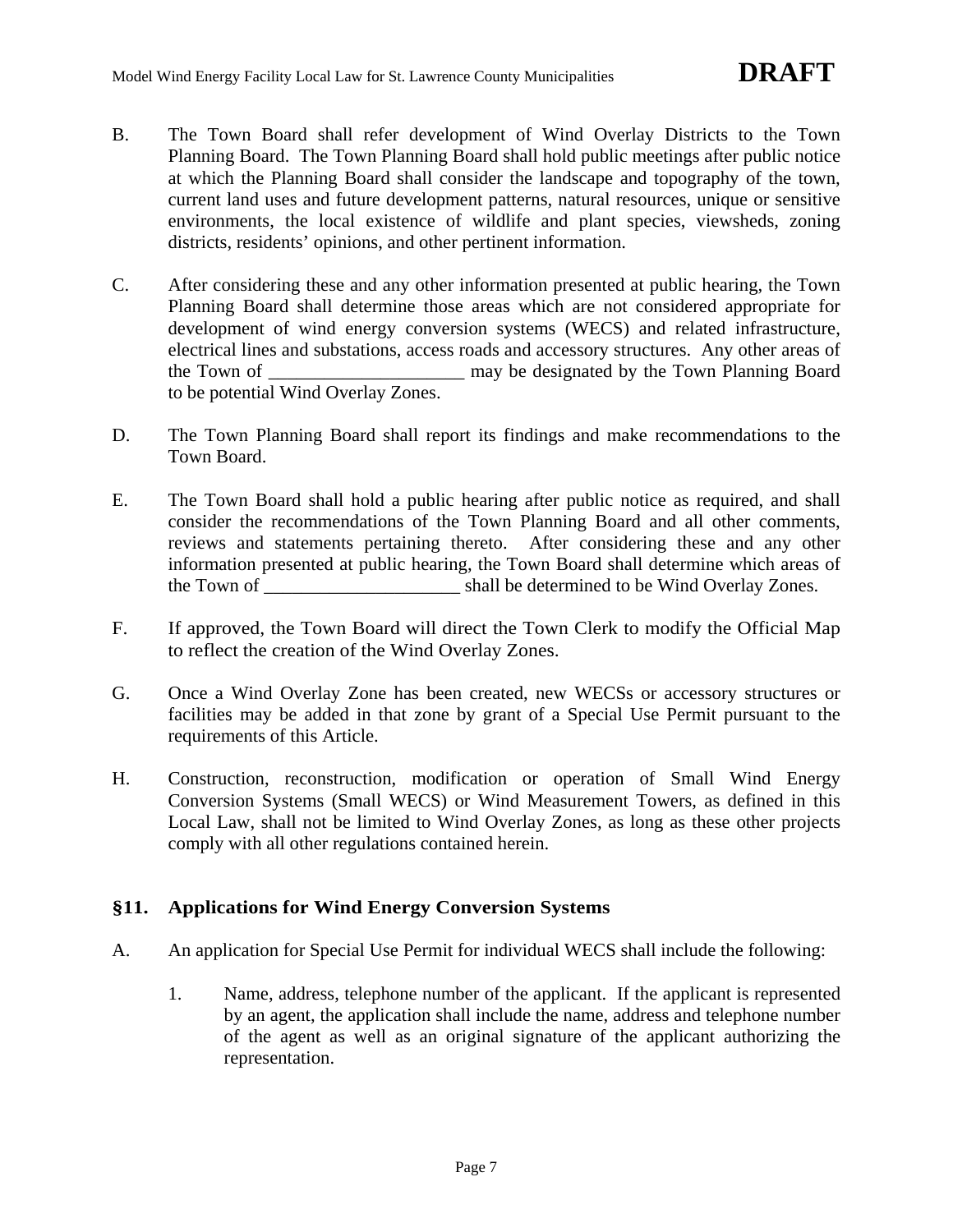- B. The Town Board shall refer development of Wind Overlay Districts to the Town Planning Board. The Town Planning Board shall hold public meetings after public notice at which the Planning Board shall consider the landscape and topography of the town, current land uses and future development patterns, natural resources, unique or sensitive environments, the local existence of wildlife and plant species, viewsheds, zoning districts, residents' opinions, and other pertinent information.
- C. After considering these and any other information presented at public hearing, the Town Planning Board shall determine those areas which are not considered appropriate for development of wind energy conversion systems (WECS) and related infrastructure, electrical lines and substations, access roads and accessory structures. Any other areas of the Town of \_\_\_\_\_\_\_\_\_\_\_\_\_\_\_\_\_\_\_\_\_\_ may be designated by the Town Planning Board to be potential Wind Overlay Zones.
- D. The Town Planning Board shall report its findings and make recommendations to the Town Board.
- E. The Town Board shall hold a public hearing after public notice as required, and shall consider the recommendations of the Town Planning Board and all other comments, reviews and statements pertaining thereto. After considering these and any other information presented at public hearing, the Town Board shall determine which areas of the Town of \_\_\_\_\_\_\_\_\_\_\_\_\_\_\_\_\_\_\_\_\_ shall be determined to be Wind Overlay Zones.
- F. If approved, the Town Board will direct the Town Clerk to modify the Official Map to reflect the creation of the Wind Overlay Zones.
- G. Once a Wind Overlay Zone has been created, new WECSs or accessory structures or facilities may be added in that zone by grant of a Special Use Permit pursuant to the requirements of this Article.
- H. Construction, reconstruction, modification or operation of Small Wind Energy Conversion Systems (Small WECS) or Wind Measurement Towers, as defined in this Local Law, shall not be limited to Wind Overlay Zones, as long as these other projects comply with all other regulations contained herein.

# **§11. Applications for Wind Energy Conversion Systems**

- A. An application for Special Use Permit for individual WECS shall include the following:
	- 1. Name, address, telephone number of the applicant. If the applicant is represented by an agent, the application shall include the name, address and telephone number of the agent as well as an original signature of the applicant authorizing the representation.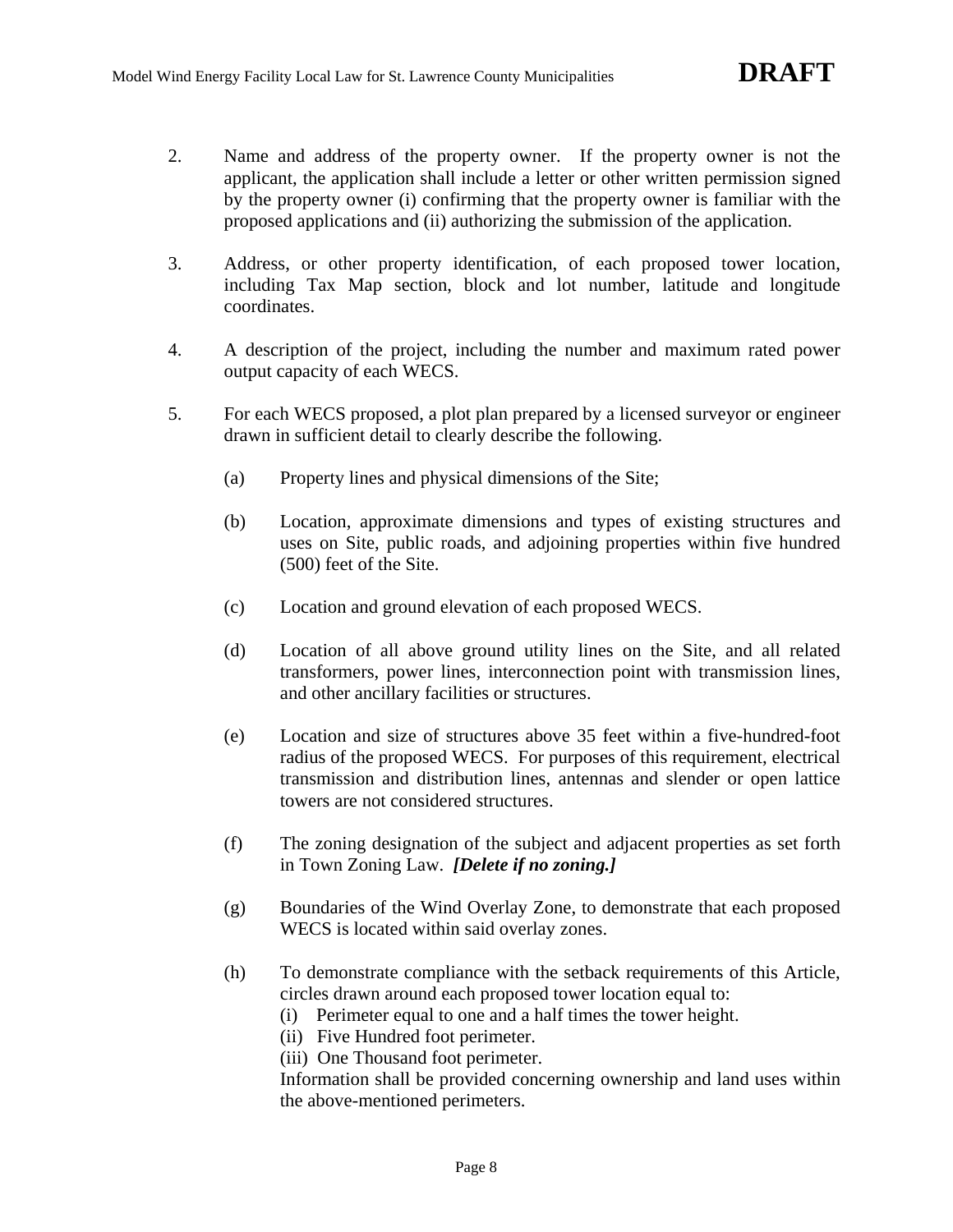- 2. Name and address of the property owner. If the property owner is not the applicant, the application shall include a letter or other written permission signed by the property owner (i) confirming that the property owner is familiar with the proposed applications and (ii) authorizing the submission of the application.
- 3. Address, or other property identification, of each proposed tower location, including Tax Map section, block and lot number, latitude and longitude coordinates.
- 4. A description of the project, including the number and maximum rated power output capacity of each WECS.
- 5. For each WECS proposed, a plot plan prepared by a licensed surveyor or engineer drawn in sufficient detail to clearly describe the following.
	- (a) Property lines and physical dimensions of the Site;
	- (b) Location, approximate dimensions and types of existing structures and uses on Site, public roads, and adjoining properties within five hundred (500) feet of the Site.
	- (c) Location and ground elevation of each proposed WECS.
	- (d) Location of all above ground utility lines on the Site, and all related transformers, power lines, interconnection point with transmission lines, and other ancillary facilities or structures.
	- (e) Location and size of structures above 35 feet within a five-hundred-foot radius of the proposed WECS. For purposes of this requirement, electrical transmission and distribution lines, antennas and slender or open lattice towers are not considered structures.
	- (f) The zoning designation of the subject and adjacent properties as set forth in Town Zoning Law. *[Delete if no zoning.]*
	- (g) Boundaries of the Wind Overlay Zone, to demonstrate that each proposed WECS is located within said overlay zones.
	- (h) To demonstrate compliance with the setback requirements of this Article, circles drawn around each proposed tower location equal to:
		- (i) Perimeter equal to one and a half times the tower height.
		- (ii) Five Hundred foot perimeter.

(iii) One Thousand foot perimeter.

Information shall be provided concerning ownership and land uses within the above-mentioned perimeters.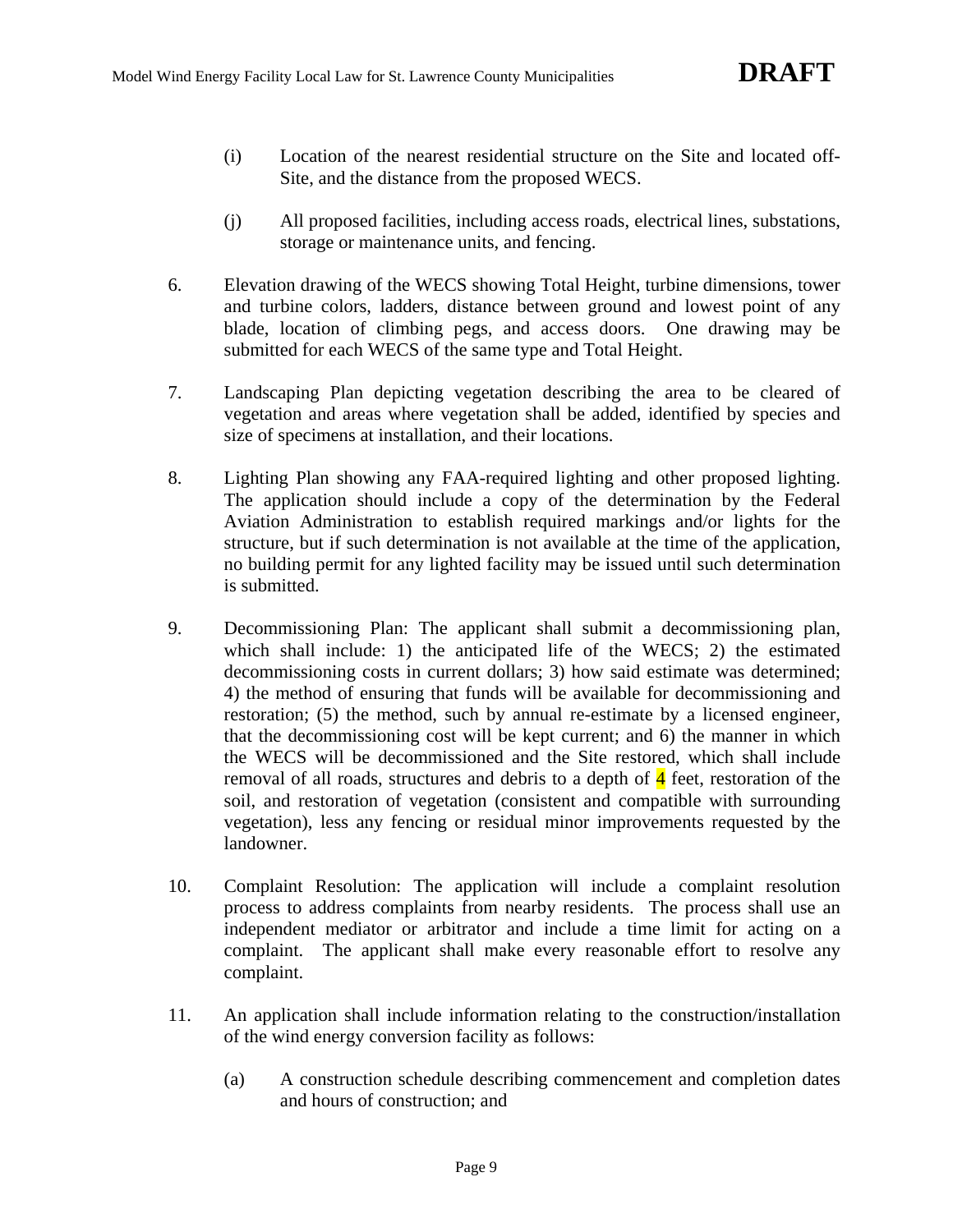- (i) Location of the nearest residential structure on the Site and located off-Site, and the distance from the proposed WECS.
- (j) All proposed facilities, including access roads, electrical lines, substations, storage or maintenance units, and fencing.
- 6. Elevation drawing of the WECS showing Total Height, turbine dimensions, tower and turbine colors, ladders, distance between ground and lowest point of any blade, location of climbing pegs, and access doors. One drawing may be submitted for each WECS of the same type and Total Height.
- 7. Landscaping Plan depicting vegetation describing the area to be cleared of vegetation and areas where vegetation shall be added, identified by species and size of specimens at installation, and their locations.
- 8. Lighting Plan showing any FAA-required lighting and other proposed lighting. The application should include a copy of the determination by the Federal Aviation Administration to establish required markings and/or lights for the structure, but if such determination is not available at the time of the application, no building permit for any lighted facility may be issued until such determination is submitted.
- 9. Decommissioning Plan: The applicant shall submit a decommissioning plan, which shall include: 1) the anticipated life of the WECS; 2) the estimated decommissioning costs in current dollars; 3) how said estimate was determined; 4) the method of ensuring that funds will be available for decommissioning and restoration; (5) the method, such by annual re-estimate by a licensed engineer, that the decommissioning cost will be kept current; and 6) the manner in which the WECS will be decommissioned and the Site restored, which shall include removal of all roads, structures and debris to a depth of  $\frac{4}{3}$  feet, restoration of the soil, and restoration of vegetation (consistent and compatible with surrounding vegetation), less any fencing or residual minor improvements requested by the landowner.
- 10. Complaint Resolution: The application will include a complaint resolution process to address complaints from nearby residents. The process shall use an independent mediator or arbitrator and include a time limit for acting on a complaint. The applicant shall make every reasonable effort to resolve any complaint.
- 11. An application shall include information relating to the construction/installation of the wind energy conversion facility as follows:
	- (a) A construction schedule describing commencement and completion dates and hours of construction; and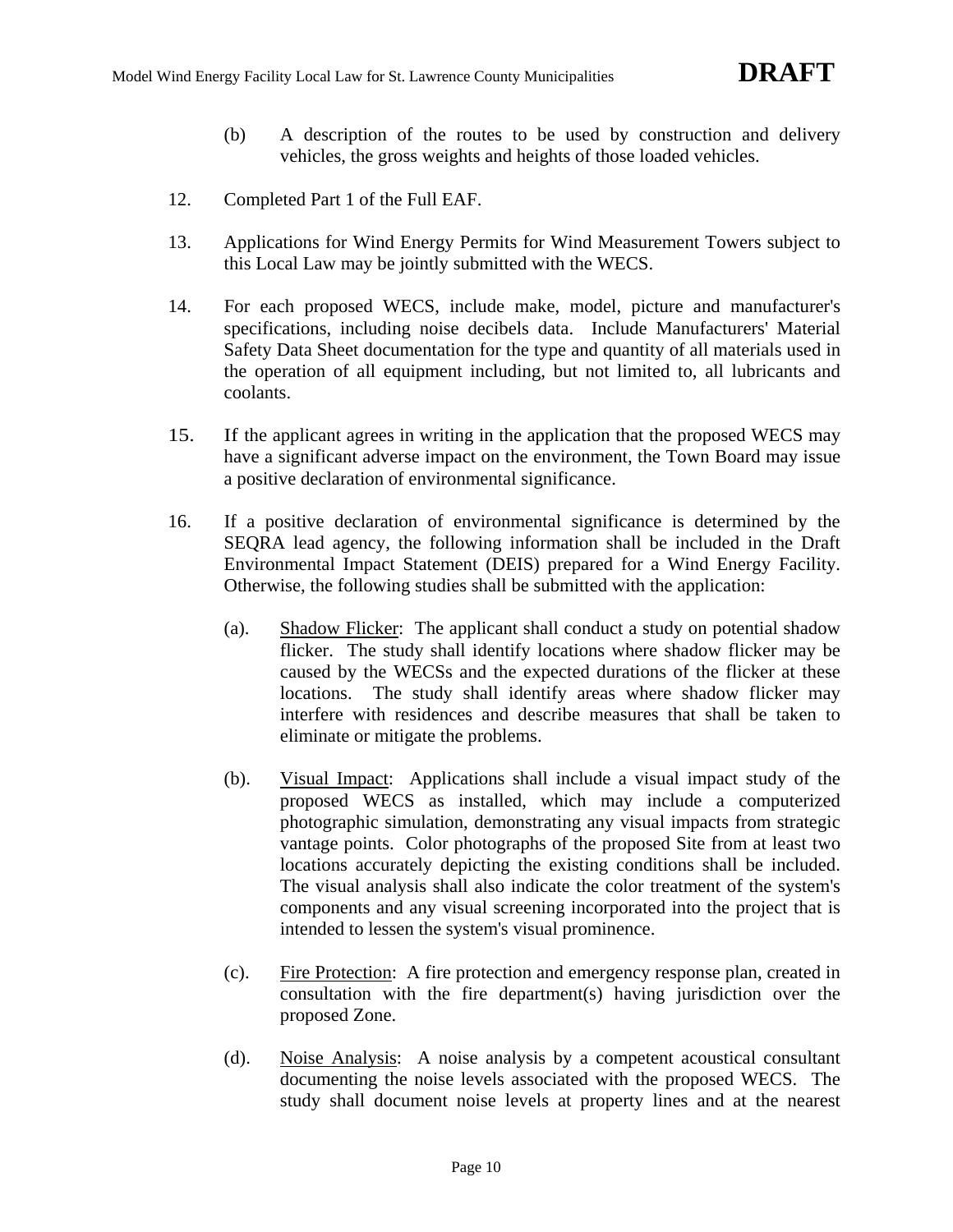- (b) A description of the routes to be used by construction and delivery vehicles, the gross weights and heights of those loaded vehicles.
- 12. Completed Part 1 of the Full EAF.
- 13. Applications for Wind Energy Permits for Wind Measurement Towers subject to this Local Law may be jointly submitted with the WECS.
- 14. For each proposed WECS, include make, model, picture and manufacturer's specifications, including noise decibels data. Include Manufacturers' Material Safety Data Sheet documentation for the type and quantity of all materials used in the operation of all equipment including, but not limited to, all lubricants and coolants.
- 15. If the applicant agrees in writing in the application that the proposed WECS may have a significant adverse impact on the environment, the Town Board may issue a positive declaration of environmental significance.
- 16. If a positive declaration of environmental significance is determined by the SEQRA lead agency, the following information shall be included in the Draft Environmental Impact Statement (DEIS) prepared for a Wind Energy Facility. Otherwise, the following studies shall be submitted with the application:
	- (a). Shadow Flicker: The applicant shall conduct a study on potential shadow flicker. The study shall identify locations where shadow flicker may be caused by the WECSs and the expected durations of the flicker at these locations. The study shall identify areas where shadow flicker may interfere with residences and describe measures that shall be taken to eliminate or mitigate the problems.
	- (b). Visual Impact: Applications shall include a visual impact study of the proposed WECS as installed, which may include a computerized photographic simulation, demonstrating any visual impacts from strategic vantage points. Color photographs of the proposed Site from at least two locations accurately depicting the existing conditions shall be included. The visual analysis shall also indicate the color treatment of the system's components and any visual screening incorporated into the project that is intended to lessen the system's visual prominence.
	- (c). Fire Protection: A fire protection and emergency response plan, created in consultation with the fire department(s) having jurisdiction over the proposed Zone.
	- (d). Noise Analysis: A noise analysis by a competent acoustical consultant documenting the noise levels associated with the proposed WECS. The study shall document noise levels at property lines and at the nearest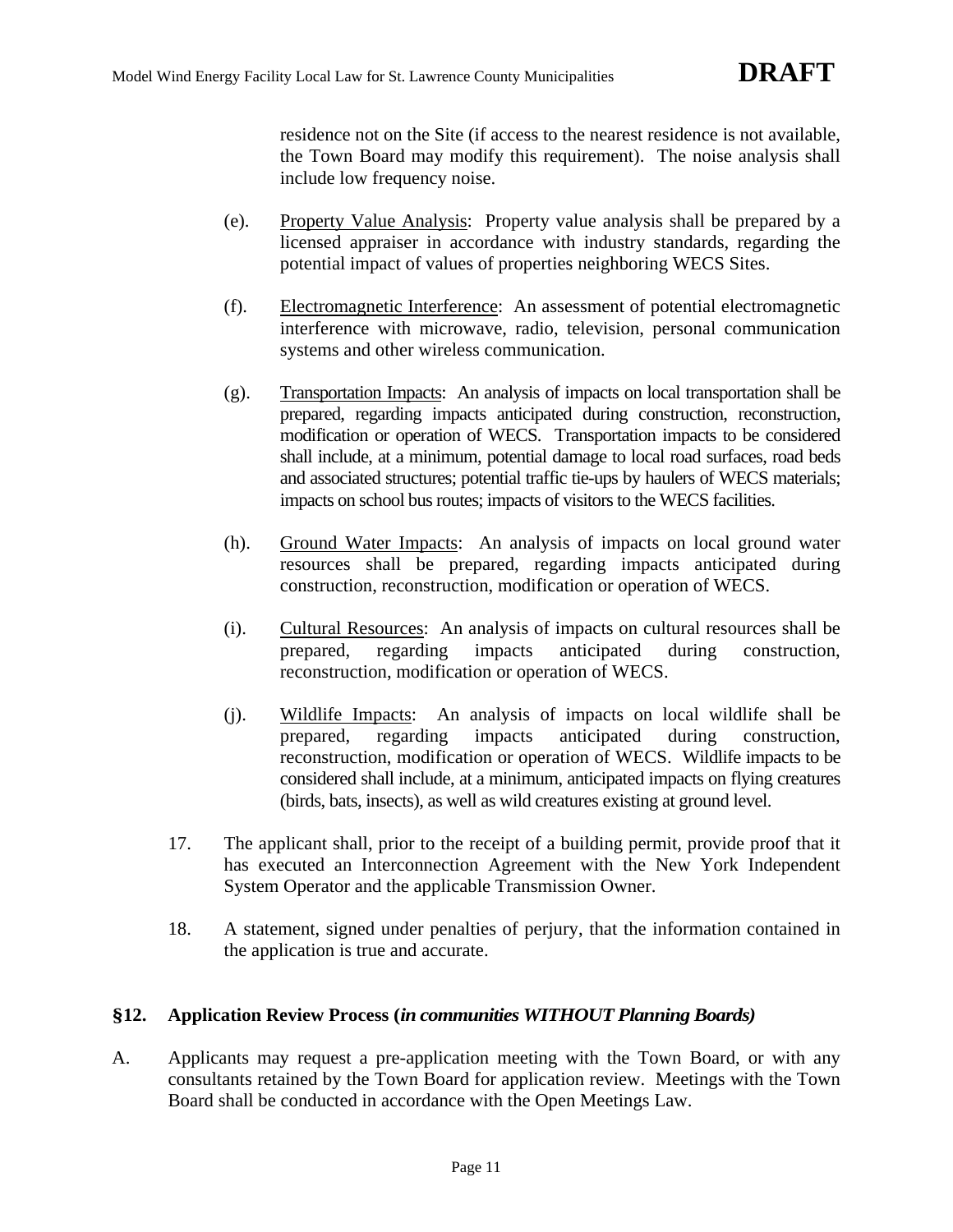residence not on the Site (if access to the nearest residence is not available, the Town Board may modify this requirement). The noise analysis shall include low frequency noise.

- (e). Property Value Analysis: Property value analysis shall be prepared by a licensed appraiser in accordance with industry standards, regarding the potential impact of values of properties neighboring WECS Sites.
- (f). Electromagnetic Interference: An assessment of potential electromagnetic interference with microwave, radio, television, personal communication systems and other wireless communication.
- (g). Transportation Impacts: An analysis of impacts on local transportation shall be prepared, regarding impacts anticipated during construction, reconstruction, modification or operation of WECS. Transportation impacts to be considered shall include, at a minimum, potential damage to local road surfaces, road beds and associated structures; potential traffic tie-ups by haulers of WECS materials; impacts on school bus routes; impacts of visitors to the WECS facilities.
- (h). Ground Water Impacts: An analysis of impacts on local ground water resources shall be prepared, regarding impacts anticipated during construction, reconstruction, modification or operation of WECS.
- (i). Cultural Resources: An analysis of impacts on cultural resources shall be prepared, regarding impacts anticipated during construction, reconstruction, modification or operation of WECS.
- (j). Wildlife Impacts: An analysis of impacts on local wildlife shall be prepared, regarding impacts anticipated during construction, reconstruction, modification or operation of WECS. Wildlife impacts to be considered shall include, at a minimum, anticipated impacts on flying creatures (birds, bats, insects), as well as wild creatures existing at ground level.
- 17. The applicant shall, prior to the receipt of a building permit, provide proof that it has executed an Interconnection Agreement with the New York Independent System Operator and the applicable Transmission Owner.
- 18. A statement, signed under penalties of perjury, that the information contained in the application is true and accurate.

# **§12. Application Review Process (***in communities WITHOUT Planning Boards)*

A. Applicants may request a pre-application meeting with the Town Board, or with any consultants retained by the Town Board for application review. Meetings with the Town Board shall be conducted in accordance with the Open Meetings Law.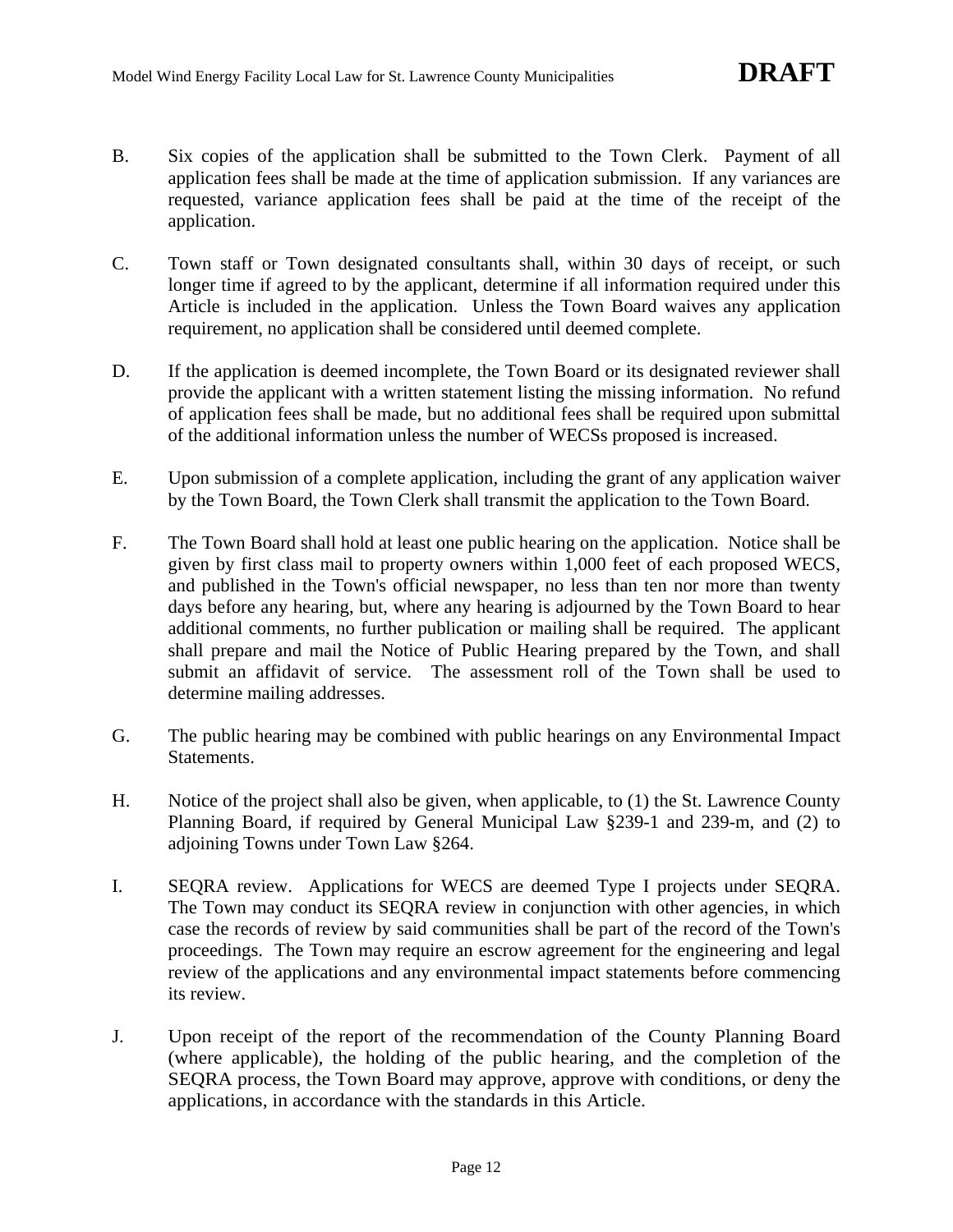- B. Six copies of the application shall be submitted to the Town Clerk. Payment of all application fees shall be made at the time of application submission. If any variances are requested, variance application fees shall be paid at the time of the receipt of the application.
- C. Town staff or Town designated consultants shall, within 30 days of receipt, or such longer time if agreed to by the applicant, determine if all information required under this Article is included in the application. Unless the Town Board waives any application requirement, no application shall be considered until deemed complete.
- D. If the application is deemed incomplete, the Town Board or its designated reviewer shall provide the applicant with a written statement listing the missing information. No refund of application fees shall be made, but no additional fees shall be required upon submittal of the additional information unless the number of WECSs proposed is increased.
- E. Upon submission of a complete application, including the grant of any application waiver by the Town Board, the Town Clerk shall transmit the application to the Town Board.
- F. The Town Board shall hold at least one public hearing on the application. Notice shall be given by first class mail to property owners within 1,000 feet of each proposed WECS, and published in the Town's official newspaper, no less than ten nor more than twenty days before any hearing, but, where any hearing is adjourned by the Town Board to hear additional comments, no further publication or mailing shall be required. The applicant shall prepare and mail the Notice of Public Hearing prepared by the Town, and shall submit an affidavit of service. The assessment roll of the Town shall be used to determine mailing addresses.
- G. The public hearing may be combined with public hearings on any Environmental Impact Statements.
- H. Notice of the project shall also be given, when applicable, to (1) the St. Lawrence County Planning Board, if required by General Municipal Law §239-1 and 239-m, and (2) to adjoining Towns under Town Law §264.
- I. SEQRA review. Applications for WECS are deemed Type I projects under SEQRA. The Town may conduct its SEQRA review in conjunction with other agencies, in which case the records of review by said communities shall be part of the record of the Town's proceedings. The Town may require an escrow agreement for the engineering and legal review of the applications and any environmental impact statements before commencing its review.
- J. Upon receipt of the report of the recommendation of the County Planning Board (where applicable), the holding of the public hearing, and the completion of the SEQRA process, the Town Board may approve, approve with conditions, or deny the applications, in accordance with the standards in this Article.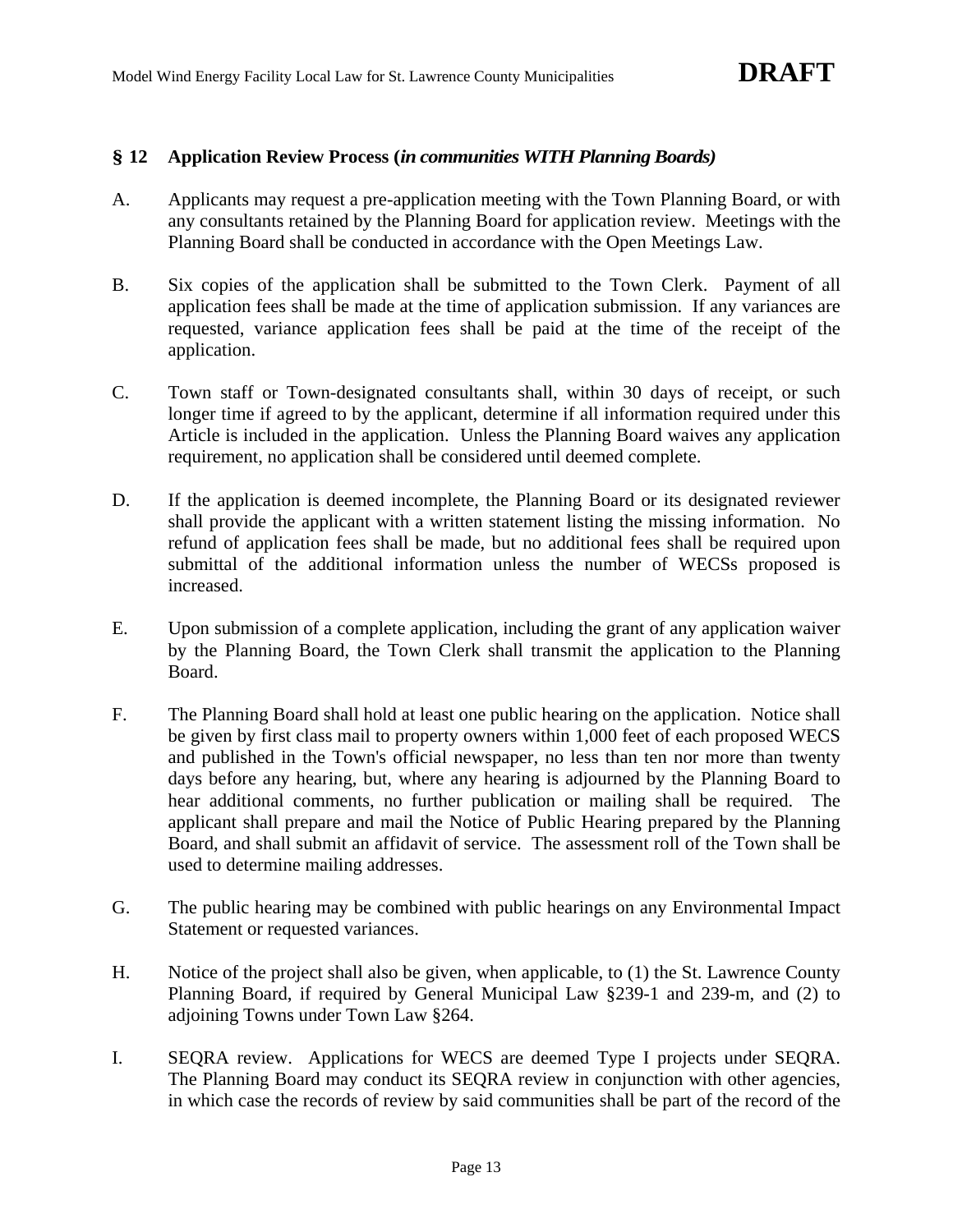### **§ 12 Application Review Process (***in communities WITH Planning Boards)*

- A. Applicants may request a pre-application meeting with the Town Planning Board, or with any consultants retained by the Planning Board for application review. Meetings with the Planning Board shall be conducted in accordance with the Open Meetings Law.
- B. Six copies of the application shall be submitted to the Town Clerk. Payment of all application fees shall be made at the time of application submission. If any variances are requested, variance application fees shall be paid at the time of the receipt of the application.
- C. Town staff or Town-designated consultants shall, within 30 days of receipt, or such longer time if agreed to by the applicant, determine if all information required under this Article is included in the application. Unless the Planning Board waives any application requirement, no application shall be considered until deemed complete.
- D. If the application is deemed incomplete, the Planning Board or its designated reviewer shall provide the applicant with a written statement listing the missing information. No refund of application fees shall be made, but no additional fees shall be required upon submittal of the additional information unless the number of WECSs proposed is increased.
- E. Upon submission of a complete application, including the grant of any application waiver by the Planning Board, the Town Clerk shall transmit the application to the Planning Board.
- F. The Planning Board shall hold at least one public hearing on the application. Notice shall be given by first class mail to property owners within 1,000 feet of each proposed WECS and published in the Town's official newspaper, no less than ten nor more than twenty days before any hearing, but, where any hearing is adjourned by the Planning Board to hear additional comments, no further publication or mailing shall be required. The applicant shall prepare and mail the Notice of Public Hearing prepared by the Planning Board, and shall submit an affidavit of service. The assessment roll of the Town shall be used to determine mailing addresses.
- G. The public hearing may be combined with public hearings on any Environmental Impact Statement or requested variances.
- H. Notice of the project shall also be given, when applicable, to (1) the St. Lawrence County Planning Board, if required by General Municipal Law §239-1 and 239-m, and (2) to adjoining Towns under Town Law §264.
- I. SEQRA review. Applications for WECS are deemed Type I projects under SEQRA. The Planning Board may conduct its SEQRA review in conjunction with other agencies, in which case the records of review by said communities shall be part of the record of the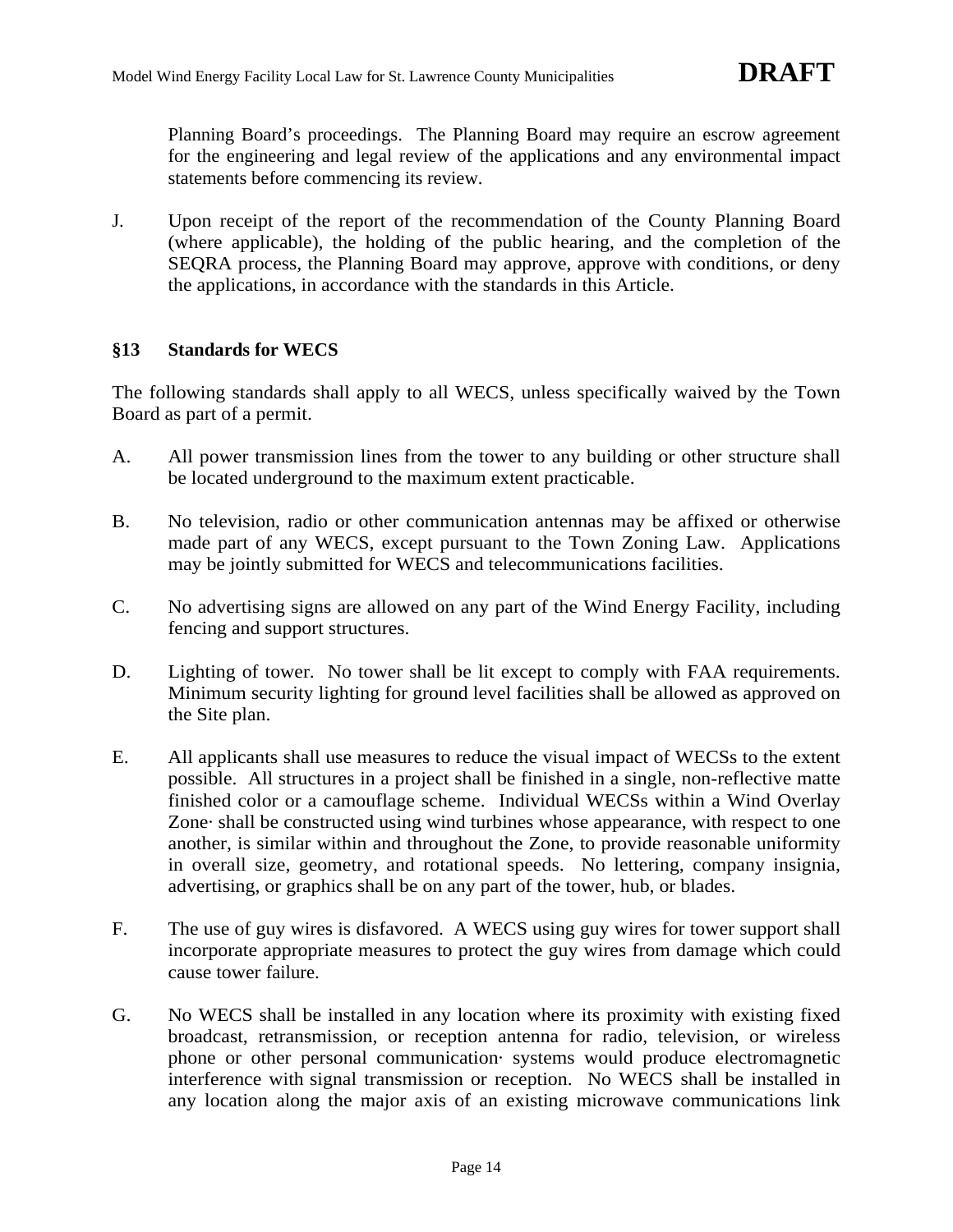Planning Board's proceedings. The Planning Board may require an escrow agreement for the engineering and legal review of the applications and any environmental impact statements before commencing its review.

J. Upon receipt of the report of the recommendation of the County Planning Board (where applicable), the holding of the public hearing, and the completion of the SEQRA process, the Planning Board may approve, approve with conditions, or deny the applications, in accordance with the standards in this Article.

# **§13 Standards for WECS**

The following standards shall apply to all WECS, unless specifically waived by the Town Board as part of a permit.

- A. All power transmission lines from the tower to any building or other structure shall be located underground to the maximum extent practicable.
- B. No television, radio or other communication antennas may be affixed or otherwise made part of any WECS, except pursuant to the Town Zoning Law. Applications may be jointly submitted for WECS and telecommunications facilities.
- C. No advertising signs are allowed on any part of the Wind Energy Facility, including fencing and support structures.
- D. Lighting of tower. No tower shall be lit except to comply with FAA requirements. Minimum security lighting for ground level facilities shall be allowed as approved on the Site plan.
- E. All applicants shall use measures to reduce the visual impact of WECSs to the extent possible. All structures in a project shall be finished in a single, non-reflective matte finished color or a camouflage scheme. Individual WECSs within a Wind Overlay Zone· shall be constructed using wind turbines whose appearance, with respect to one another, is similar within and throughout the Zone, to provide reasonable uniformity in overall size, geometry, and rotational speeds. No lettering, company insignia, advertising, or graphics shall be on any part of the tower, hub, or blades.
- F. The use of guy wires is disfavored. A WECS using guy wires for tower support shall incorporate appropriate measures to protect the guy wires from damage which could cause tower failure.
- G. No WECS shall be installed in any location where its proximity with existing fixed broadcast, retransmission, or reception antenna for radio, television, or wireless phone or other personal communication· systems would produce electromagnetic interference with signal transmission or reception. No WECS shall be installed in any location along the major axis of an existing microwave communications link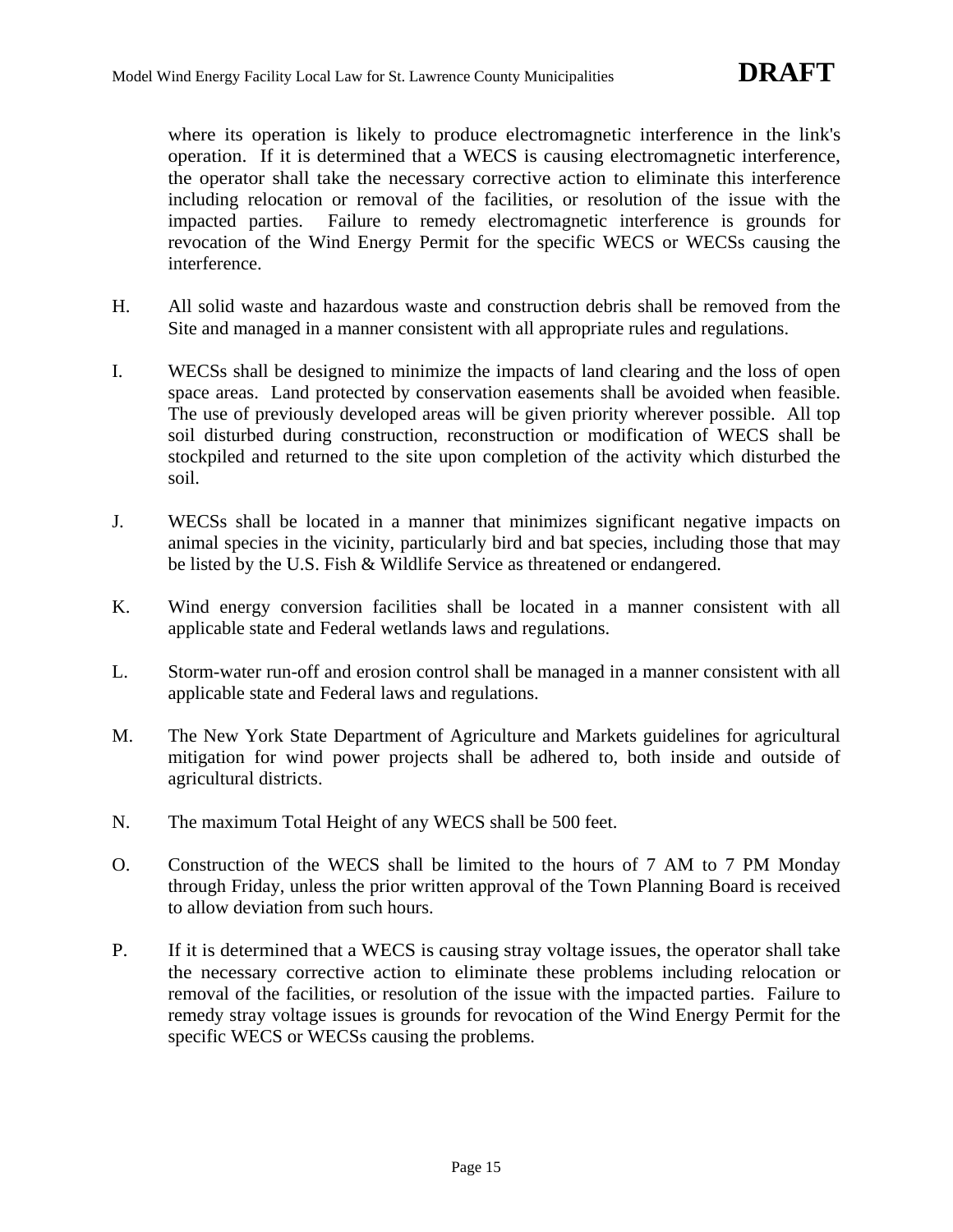where its operation is likely to produce electromagnetic interference in the link's operation. If it is determined that a WECS is causing electromagnetic interference, the operator shall take the necessary corrective action to eliminate this interference including relocation or removal of the facilities, or resolution of the issue with the impacted parties. Failure to remedy electromagnetic interference is grounds for revocation of the Wind Energy Permit for the specific WECS or WECSs causing the interference.

- H. All solid waste and hazardous waste and construction debris shall be removed from the Site and managed in a manner consistent with all appropriate rules and regulations.
- I. WECSs shall be designed to minimize the impacts of land clearing and the loss of open space areas. Land protected by conservation easements shall be avoided when feasible. The use of previously developed areas will be given priority wherever possible. All top soil disturbed during construction, reconstruction or modification of WECS shall be stockpiled and returned to the site upon completion of the activity which disturbed the soil.
- J. WECSs shall be located in a manner that minimizes significant negative impacts on animal species in the vicinity, particularly bird and bat species, including those that may be listed by the U.S. Fish & Wildlife Service as threatened or endangered.
- K. Wind energy conversion facilities shall be located in a manner consistent with all applicable state and Federal wetlands laws and regulations.
- L. Storm-water run-off and erosion control shall be managed in a manner consistent with all applicable state and Federal laws and regulations.
- M. The New York State Department of Agriculture and Markets guidelines for agricultural mitigation for wind power projects shall be adhered to, both inside and outside of agricultural districts.
- N. The maximum Total Height of any WECS shall be 500 feet.
- O. Construction of the WECS shall be limited to the hours of 7 AM to 7 PM Monday through Friday, unless the prior written approval of the Town Planning Board is received to allow deviation from such hours.
- P. If it is determined that a WECS is causing stray voltage issues, the operator shall take the necessary corrective action to eliminate these problems including relocation or removal of the facilities, or resolution of the issue with the impacted parties. Failure to remedy stray voltage issues is grounds for revocation of the Wind Energy Permit for the specific WECS or WECSs causing the problems.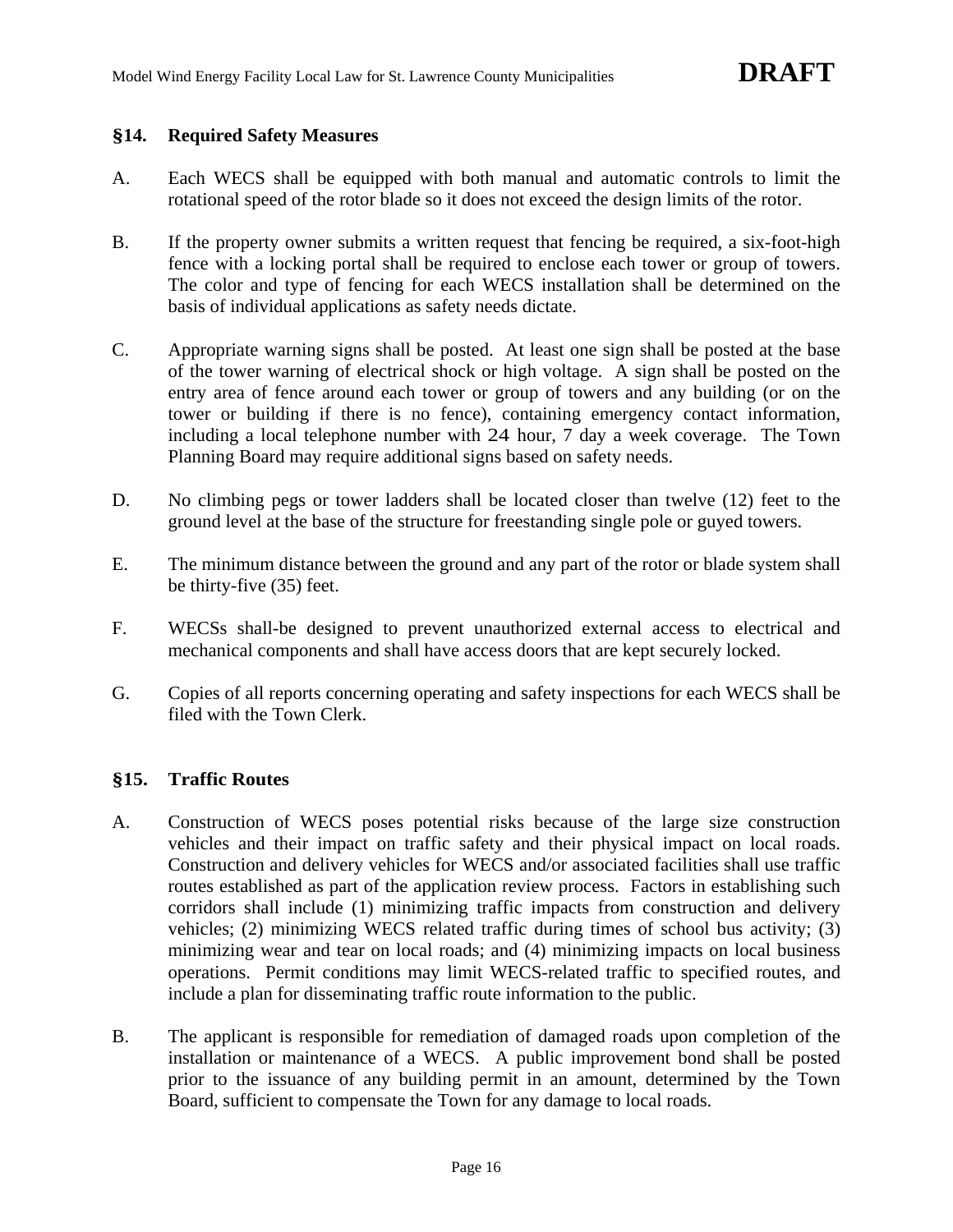#### **§14. Required Safety Measures**

- A. Each WECS shall be equipped with both manual and automatic controls to limit the rotational speed of the rotor blade so it does not exceed the design limits of the rotor.
- B. If the property owner submits a written request that fencing be required, a six-foot-high fence with a locking portal shall be required to enclose each tower or group of towers. The color and type of fencing for each WECS installation shall be determined on the basis of individual applications as safety needs dictate.
- C. Appropriate warning signs shall be posted. At least one sign shall be posted at the base of the tower warning of electrical shock or high voltage. A sign shall be posted on the entry area of fence around each tower or group of towers and any building (or on the tower or building if there is no fence), containing emergency contact information, including a local telephone number with 24 hour, 7 day a week coverage. The Town Planning Board may require additional signs based on safety needs.
- D. No climbing pegs or tower ladders shall be located closer than twelve (12) feet to the ground level at the base of the structure for freestanding single pole or guyed towers.
- E. The minimum distance between the ground and any part of the rotor or blade system shall be thirty-five (35) feet.
- F. WECSs shall-be designed to prevent unauthorized external access to electrical and mechanical components and shall have access doors that are kept securely locked.
- G. Copies of all reports concerning operating and safety inspections for each WECS shall be filed with the Town Clerk.

### **§15. Traffic Routes**

- A. Construction of WECS poses potential risks because of the large size construction vehicles and their impact on traffic safety and their physical impact on local roads. Construction and delivery vehicles for WECS and/or associated facilities shall use traffic routes established as part of the application review process. Factors in establishing such corridors shall include (1) minimizing traffic impacts from construction and delivery vehicles; (2) minimizing WECS related traffic during times of school bus activity; (3) minimizing wear and tear on local roads; and (4) minimizing impacts on local business operations. Permit conditions may limit WECS-related traffic to specified routes, and include a plan for disseminating traffic route information to the public.
- B. The applicant is responsible for remediation of damaged roads upon completion of the installation or maintenance of a WECS. A public improvement bond shall be posted prior to the issuance of any building permit in an amount, determined by the Town Board, sufficient to compensate the Town for any damage to local roads.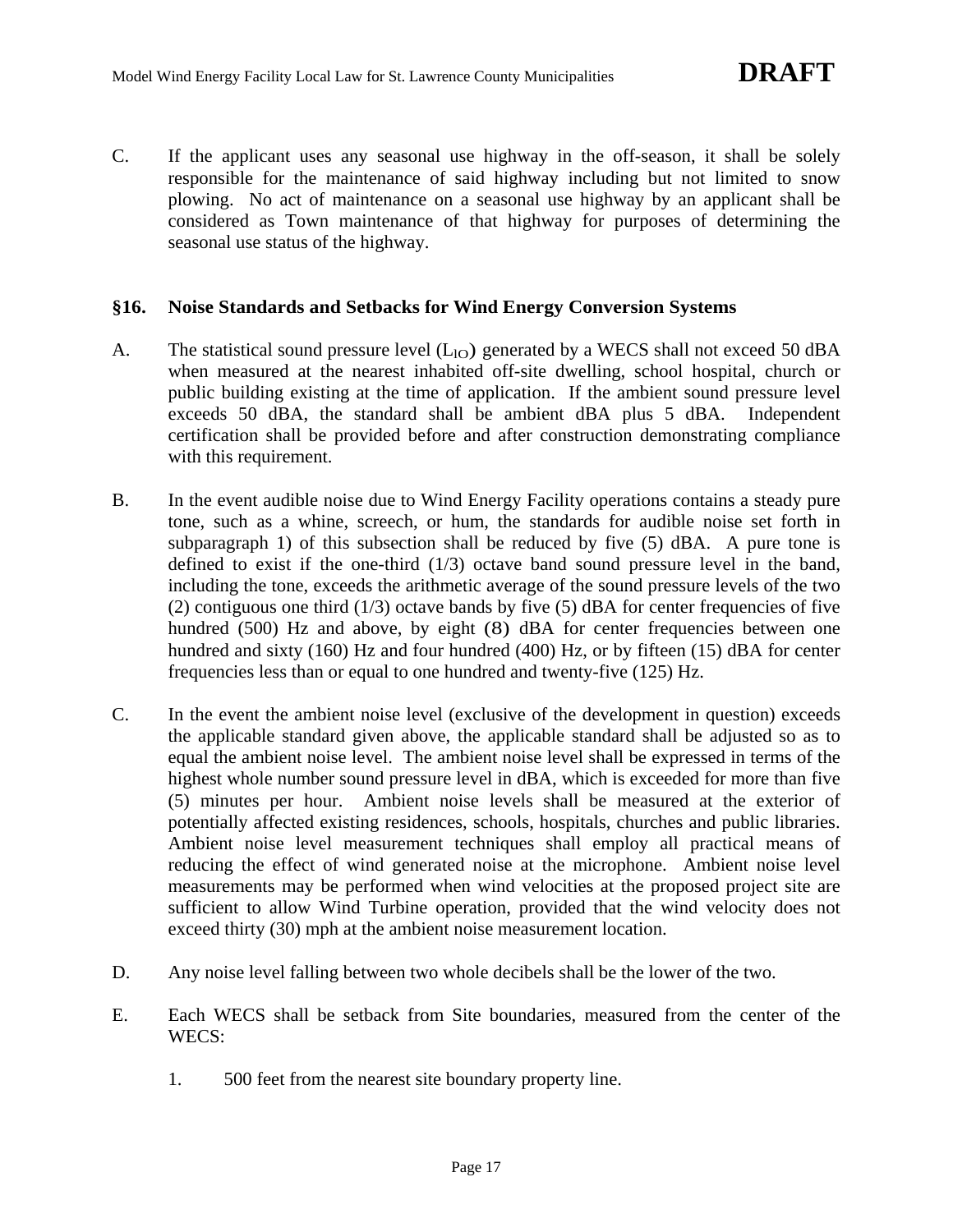C. If the applicant uses any seasonal use highway in the off-season, it shall be solely responsible for the maintenance of said highway including but not limited to snow plowing. No act of maintenance on a seasonal use highway by an applicant shall be considered as Town maintenance of that highway for purposes of determining the seasonal use status of the highway.

### **§16. Noise Standards and Setbacks for Wind Energy Conversion Systems**

- A. The statistical sound pressure level  $(L<sub>IO</sub>)$  generated by a WECS shall not exceed 50 dBA when measured at the nearest inhabited off-site dwelling, school hospital, church or public building existing at the time of application. If the ambient sound pressure level exceeds 50 dBA, the standard shall be ambient dBA plus 5 dBA. Independent certification shall be provided before and after construction demonstrating compliance with this requirement.
- B. In the event audible noise due to Wind Energy Facility operations contains a steady pure tone, such as a whine, screech, or hum, the standards for audible noise set forth in subparagraph 1) of this subsection shall be reduced by five (5) dBA. A pure tone is defined to exist if the one-third (1/3) octave band sound pressure level in the band, including the tone, exceeds the arithmetic average of the sound pressure levels of the two (2) contiguous one third  $(1/3)$  octave bands by five (5) dBA for center frequencies of five hundred (500) Hz and above, by eight (8) dBA for center frequencies between one hundred and sixty (160) Hz and four hundred (400) Hz, or by fifteen (15) dBA for center frequencies less than or equal to one hundred and twenty-five (125) Hz.
- C. In the event the ambient noise level (exclusive of the development in question) exceeds the applicable standard given above, the applicable standard shall be adjusted so as to equal the ambient noise level. The ambient noise level shall be expressed in terms of the highest whole number sound pressure level in dBA, which is exceeded for more than five (5) minutes per hour. Ambient noise levels shall be measured at the exterior of potentially affected existing residences, schools, hospitals, churches and public libraries. Ambient noise level measurement techniques shall employ all practical means of reducing the effect of wind generated noise at the microphone. Ambient noise level measurements may be performed when wind velocities at the proposed project site are sufficient to allow Wind Turbine operation, provided that the wind velocity does not exceed thirty (30) mph at the ambient noise measurement location.
- D. Any noise level falling between two whole decibels shall be the lower of the two.
- E. Each WECS shall be setback from Site boundaries, measured from the center of the WECS:
	- 1. 500 feet from the nearest site boundary property line.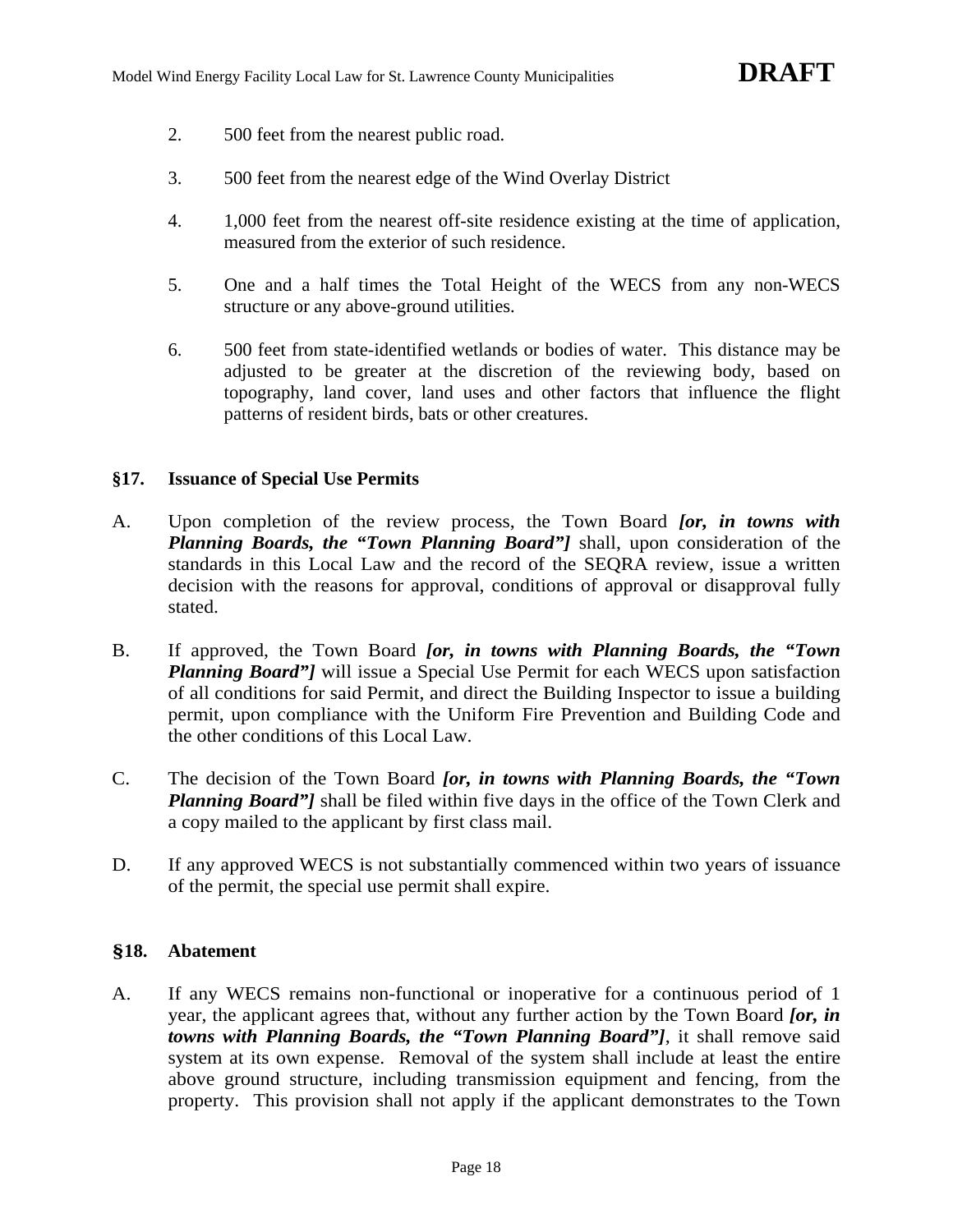- 2. 500 feet from the nearest public road.
- 3. 500 feet from the nearest edge of the Wind Overlay District
- 4. 1,000 feet from the nearest off-site residence existing at the time of application, measured from the exterior of such residence.
- 5. One and a half times the Total Height of the WECS from any non-WECS structure or any above-ground utilities.
- 6. 500 feet from state-identified wetlands or bodies of water. This distance may be adjusted to be greater at the discretion of the reviewing body, based on topography, land cover, land uses and other factors that influence the flight patterns of resident birds, bats or other creatures.

### **§17. Issuance of Special Use Permits**

- A. Upon completion of the review process, the Town Board *[or, in towns with Planning Boards, the "Town Planning Board"]* shall, upon consideration of the standards in this Local Law and the record of the SEQRA review, issue a written decision with the reasons for approval, conditions of approval or disapproval fully stated.
- B. If approved, the Town Board *[or, in towns with Planning Boards, the "Town Planning Board"]* will issue a Special Use Permit for each WECS upon satisfaction of all conditions for said Permit, and direct the Building Inspector to issue a building permit, upon compliance with the Uniform Fire Prevention and Building Code and the other conditions of this Local Law.
- C. The decision of the Town Board *[or, in towns with Planning Boards, the "Town Planning Board"* shall be filed within five days in the office of the Town Clerk and a copy mailed to the applicant by first class mail.
- D. If any approved WECS is not substantially commenced within two years of issuance of the permit, the special use permit shall expire.

### **§18. Abatement**

A. If any WECS remains non-functional or inoperative for a continuous period of 1 year, the applicant agrees that, without any further action by the Town Board *[or, in towns with Planning Boards, the "Town Planning Board"]*, it shall remove said system at its own expense. Removal of the system shall include at least the entire above ground structure, including transmission equipment and fencing, from the property. This provision shall not apply if the applicant demonstrates to the Town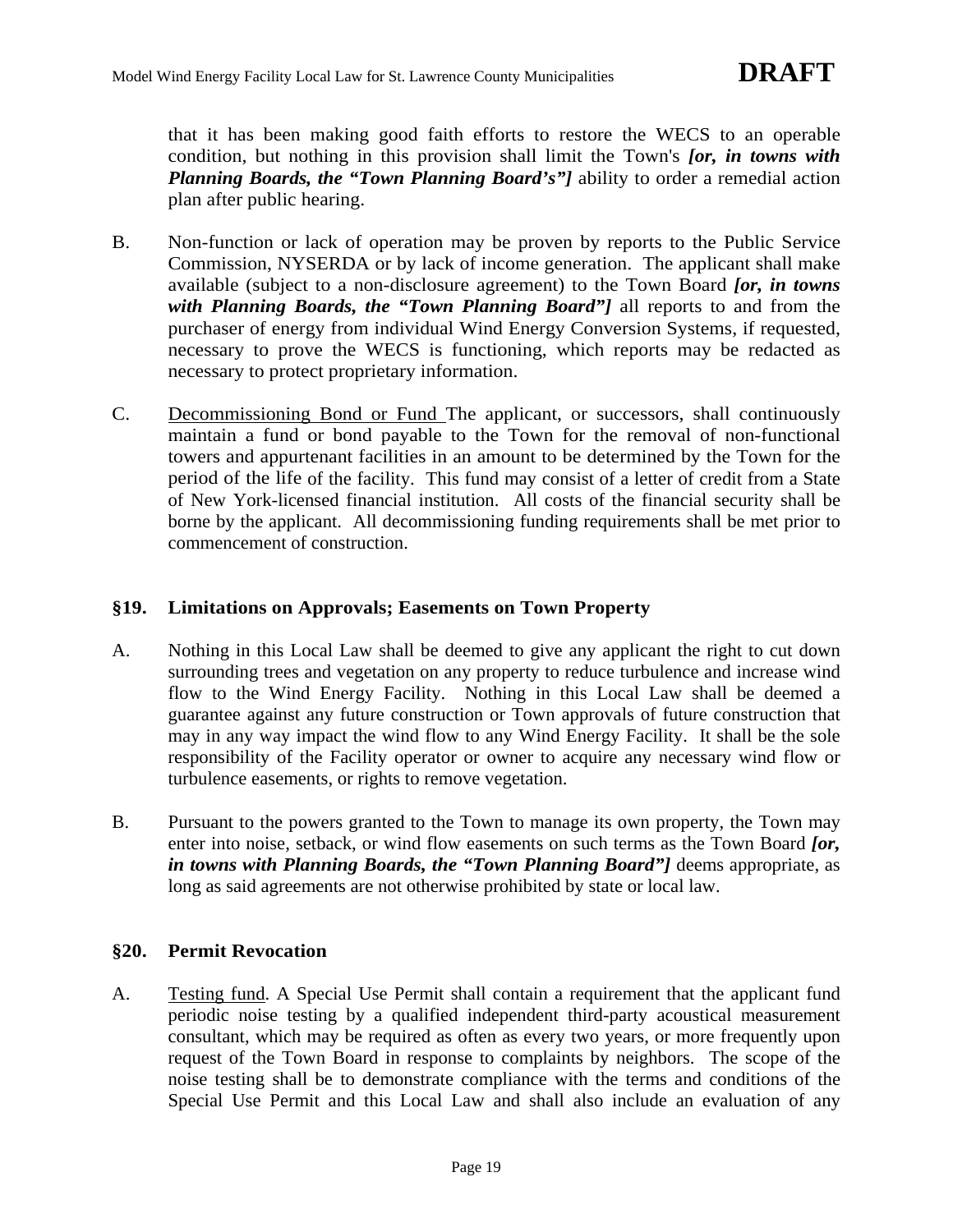that it has been making good faith efforts to restore the WECS to an operable condition, but nothing in this provision shall limit the Town's *[or, in towns with Planning Boards, the "Town Planning Board's"]* ability to order a remedial action plan after public hearing.

- B. Non-function or lack of operation may be proven by reports to the Public Service Commission, NYSERDA or by lack of income generation. The applicant shall make available (subject to a non-disclosure agreement) to the Town Board *[or, in towns with Planning Boards, the "Town Planning Board"]* all reports to and from the purchaser of energy from individual Wind Energy Conversion Systems, if requested, necessary to prove the WECS is functioning, which reports may be redacted as necessary to protect proprietary information.
- C. Decommissioning Bond or Fund The applicant, or successors, shall continuously maintain a fund or bond payable to the Town for the removal of non-functional towers and appurtenant facilities in an amount to be determined by the Town for the period of the life of the facility. This fund may consist of a letter of credit from a State of New York-licensed financial institution. All costs of the financial security shall be borne by the applicant. All decommissioning funding requirements shall be met prior to commencement of construction.

### **§19. Limitations on Approvals; Easements on Town Property**

- A. Nothing in this Local Law shall be deemed to give any applicant the right to cut down surrounding trees and vegetation on any property to reduce turbulence and increase wind flow to the Wind Energy Facility. Nothing in this Local Law shall be deemed a guarantee against any future construction or Town approvals of future construction that may in any way impact the wind flow to any Wind Energy Facility. It shall be the sole responsibility of the Facility operator or owner to acquire any necessary wind flow or turbulence easements, or rights to remove vegetation.
- B. Pursuant to the powers granted to the Town to manage its own property, the Town may enter into noise, setback, or wind flow easements on such terms as the Town Board *[or, in towns with Planning Boards, the "Town Planning Board"]* deems appropriate, as long as said agreements are not otherwise prohibited by state or local law.

### **§20. Permit Revocation**

A. Testing fund. A Special Use Permit shall contain a requirement that the applicant fund periodic noise testing by a qualified independent third-party acoustical measurement consultant, which may be required as often as every two years, or more frequently upon request of the Town Board in response to complaints by neighbors. The scope of the noise testing shall be to demonstrate compliance with the terms and conditions of the Special Use Permit and this Local Law and shall also include an evaluation of any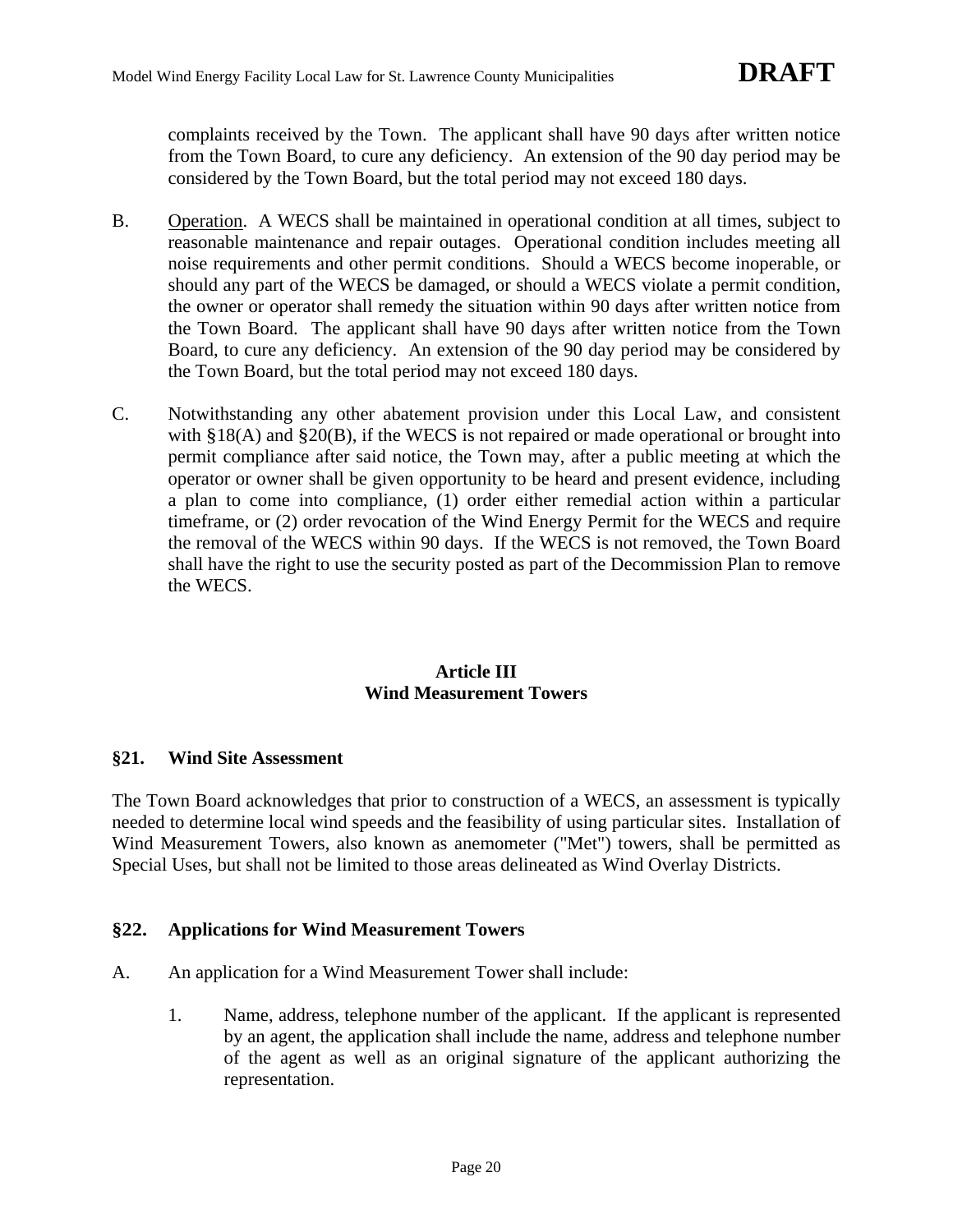complaints received by the Town. The applicant shall have 90 days after written notice from the Town Board, to cure any deficiency. An extension of the 90 day period may be considered by the Town Board, but the total period may not exceed 180 days.

- B. Operation. A WECS shall be maintained in operational condition at all times, subject to reasonable maintenance and repair outages. Operational condition includes meeting all noise requirements and other permit conditions. Should a WECS become inoperable, or should any part of the WECS be damaged, or should a WECS violate a permit condition, the owner or operator shall remedy the situation within 90 days after written notice from the Town Board. The applicant shall have 90 days after written notice from the Town Board, to cure any deficiency. An extension of the 90 day period may be considered by the Town Board, but the total period may not exceed 180 days.
- C. Notwithstanding any other abatement provision under this Local Law, and consistent with §18(A) and §20(B), if the WECS is not repaired or made operational or brought into permit compliance after said notice, the Town may, after a public meeting at which the operator or owner shall be given opportunity to be heard and present evidence, including a plan to come into compliance, (1) order either remedial action within a particular timeframe, or (2) order revocation of the Wind Energy Permit for the WECS and require the removal of the WECS within 90 days. If the WECS is not removed, the Town Board shall have the right to use the security posted as part of the Decommission Plan to remove the WECS.

# **Article III Wind Measurement Towers**

### **§21. Wind Site Assessment**

The Town Board acknowledges that prior to construction of a WECS, an assessment is typically needed to determine local wind speeds and the feasibility of using particular sites. Installation of Wind Measurement Towers, also known as anemometer ("Met") towers, shall be permitted as Special Uses, but shall not be limited to those areas delineated as Wind Overlay Districts.

### **§22. Applications for Wind Measurement Towers**

- A. An application for a Wind Measurement Tower shall include:
	- 1. Name, address, telephone number of the applicant. If the applicant is represented by an agent, the application shall include the name, address and telephone number of the agent as well as an original signature of the applicant authorizing the representation.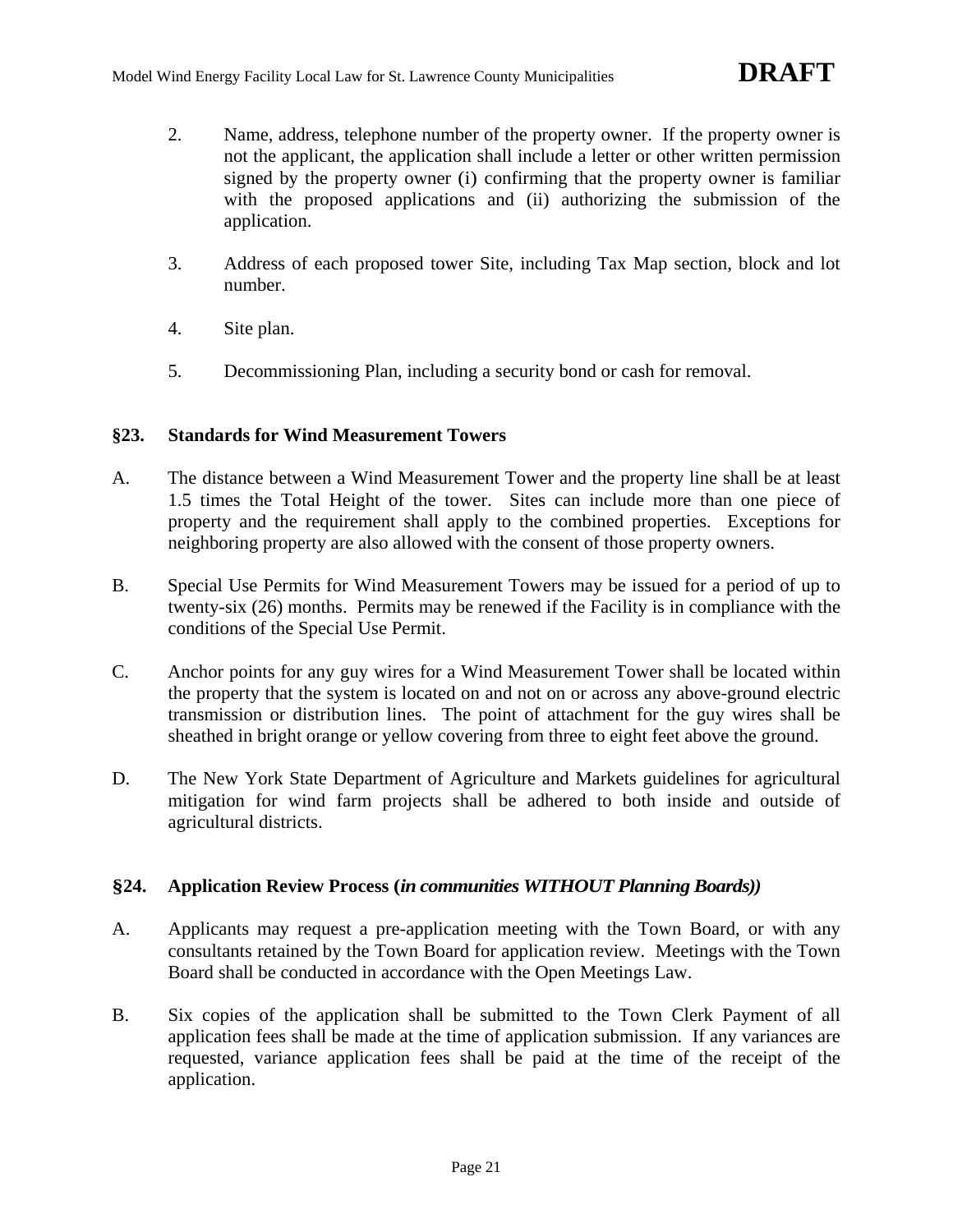- 2. Name, address, telephone number of the property owner. If the property owner is not the applicant, the application shall include a letter or other written permission signed by the property owner (i) confirming that the property owner is familiar with the proposed applications and (ii) authorizing the submission of the application.
- 3. Address of each proposed tower Site, including Tax Map section, block and lot number.
- 4. Site plan.
- 5. Decommissioning Plan, including a security bond or cash for removal.

### **§23. Standards for Wind Measurement Towers**

- A. The distance between a Wind Measurement Tower and the property line shall be at least 1.5 times the Total Height of the tower. Sites can include more than one piece of property and the requirement shall apply to the combined properties. Exceptions for neighboring property are also allowed with the consent of those property owners.
- B. Special Use Permits for Wind Measurement Towers may be issued for a period of up to twenty-six (26) months. Permits may be renewed if the Facility is in compliance with the conditions of the Special Use Permit.
- C. Anchor points for any guy wires for a Wind Measurement Tower shall be located within the property that the system is located on and not on or across any above-ground electric transmission or distribution lines. The point of attachment for the guy wires shall be sheathed in bright orange or yellow covering from three to eight feet above the ground.
- D. The New York State Department of Agriculture and Markets guidelines for agricultural mitigation for wind farm projects shall be adhered to both inside and outside of agricultural districts.

### **§24. Application Review Process (***in communities WITHOUT Planning Boards))*

- A. Applicants may request a pre-application meeting with the Town Board, or with any consultants retained by the Town Board for application review. Meetings with the Town Board shall be conducted in accordance with the Open Meetings Law.
- B. Six copies of the application shall be submitted to the Town Clerk Payment of all application fees shall be made at the time of application submission. If any variances are requested, variance application fees shall be paid at the time of the receipt of the application.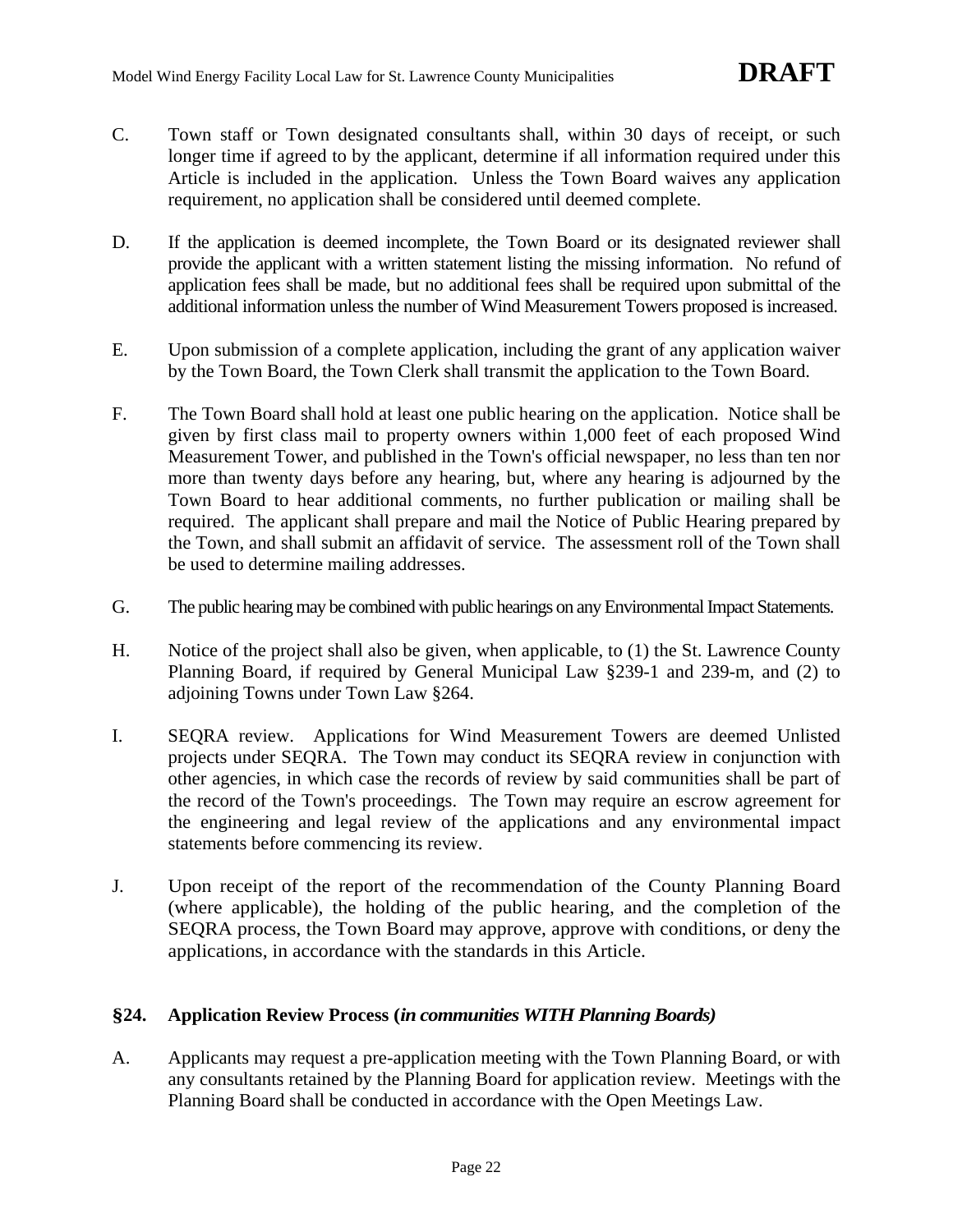- C. Town staff or Town designated consultants shall, within 30 days of receipt, or such longer time if agreed to by the applicant, determine if all information required under this Article is included in the application. Unless the Town Board waives any application requirement, no application shall be considered until deemed complete.
- D. If the application is deemed incomplete, the Town Board or its designated reviewer shall provide the applicant with a written statement listing the missing information. No refund of application fees shall be made, but no additional fees shall be required upon submittal of the additional information unless the number of Wind Measurement Towers proposed is increased.
- E. Upon submission of a complete application, including the grant of any application waiver by the Town Board, the Town Clerk shall transmit the application to the Town Board.
- F. The Town Board shall hold at least one public hearing on the application. Notice shall be given by first class mail to property owners within 1,000 feet of each proposed Wind Measurement Tower, and published in the Town's official newspaper, no less than ten nor more than twenty days before any hearing, but, where any hearing is adjourned by the Town Board to hear additional comments, no further publication or mailing shall be required. The applicant shall prepare and mail the Notice of Public Hearing prepared by the Town, and shall submit an affidavit of service. The assessment roll of the Town shall be used to determine mailing addresses.
- G. The public hearing may be combined with public hearings on any Environmental Impact Statements.
- H. Notice of the project shall also be given, when applicable, to (1) the St. Lawrence County Planning Board, if required by General Municipal Law §239-1 and 239-m, and (2) to adjoining Towns under Town Law §264.
- I. SEQRA review. Applications for Wind Measurement Towers are deemed Unlisted projects under SEQRA. The Town may conduct its SEQRA review in conjunction with other agencies, in which case the records of review by said communities shall be part of the record of the Town's proceedings. The Town may require an escrow agreement for the engineering and legal review of the applications and any environmental impact statements before commencing its review.
- J. Upon receipt of the report of the recommendation of the County Planning Board (where applicable), the holding of the public hearing, and the completion of the SEQRA process, the Town Board may approve, approve with conditions, or deny the applications, in accordance with the standards in this Article.

### **§24. Application Review Process (***in communities WITH Planning Boards)*

A. Applicants may request a pre-application meeting with the Town Planning Board, or with any consultants retained by the Planning Board for application review. Meetings with the Planning Board shall be conducted in accordance with the Open Meetings Law.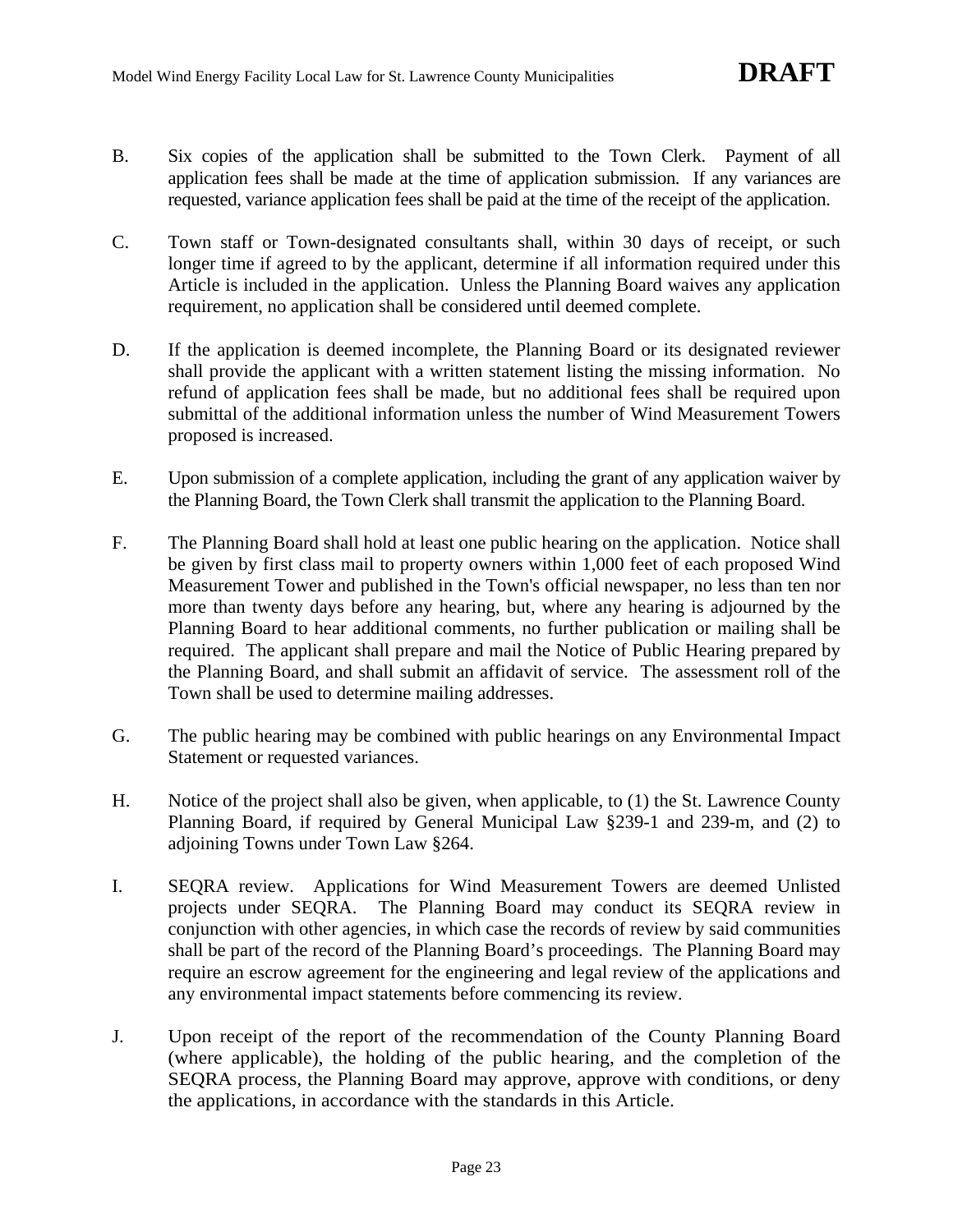- B. Six copies of the application shall be submitted to the Town Clerk. Payment of all application fees shall be made at the time of application submission. If any variances are requested, variance application fees shall be paid at the time of the receipt of the application.
- C. Town staff or Town-designated consultants shall, within 30 days of receipt, or such longer time if agreed to by the applicant, determine if all information required under this Article is included in the application. Unless the Planning Board waives any application requirement, no application shall be considered until deemed complete.
- D. If the application is deemed incomplete, the Planning Board or its designated reviewer shall provide the applicant with a written statement listing the missing information. No refund of application fees shall be made, but no additional fees shall be required upon submittal of the additional information unless the number of Wind Measurement Towers proposed is increased.
- E. Upon submission of a complete application, including the grant of any application waiver by the Planning Board, the Town Clerk shall transmit the application to the Planning Board.
- F. The Planning Board shall hold at least one public hearing on the application. Notice shall be given by first class mail to property owners within 1,000 feet of each proposed Wind Measurement Tower and published in the Town's official newspaper, no less than ten nor more than twenty days before any hearing, but, where any hearing is adjourned by the Planning Board to hear additional comments, no further publication or mailing shall be required. The applicant shall prepare and mail the Notice of Public Hearing prepared by the Planning Board, and shall submit an affidavit of service. The assessment roll of the Town shall be used to determine mailing addresses.
- G. The public hearing may be combined with public hearings on any Environmental Impact Statement or requested variances.
- H. Notice of the project shall also be given, when applicable, to (1) the St. Lawrence County Planning Board, if required by General Municipal Law §239-1 and 239-m, and (2) to adjoining Towns under Town Law §264.
- I. SEQRA review. Applications for Wind Measurement Towers are deemed Unlisted projects under SEQRA. The Planning Board may conduct its SEQRA review in conjunction with other agencies, in which case the records of review by said communities shall be part of the record of the Planning Board's proceedings. The Planning Board may require an escrow agreement for the engineering and legal review of the applications and any environmental impact statements before commencing its review.
- J. Upon receipt of the report of the recommendation of the County Planning Board (where applicable), the holding of the public hearing, and the completion of the SEQRA process, the Planning Board may approve, approve with conditions, or deny the applications, in accordance with the standards in this Article.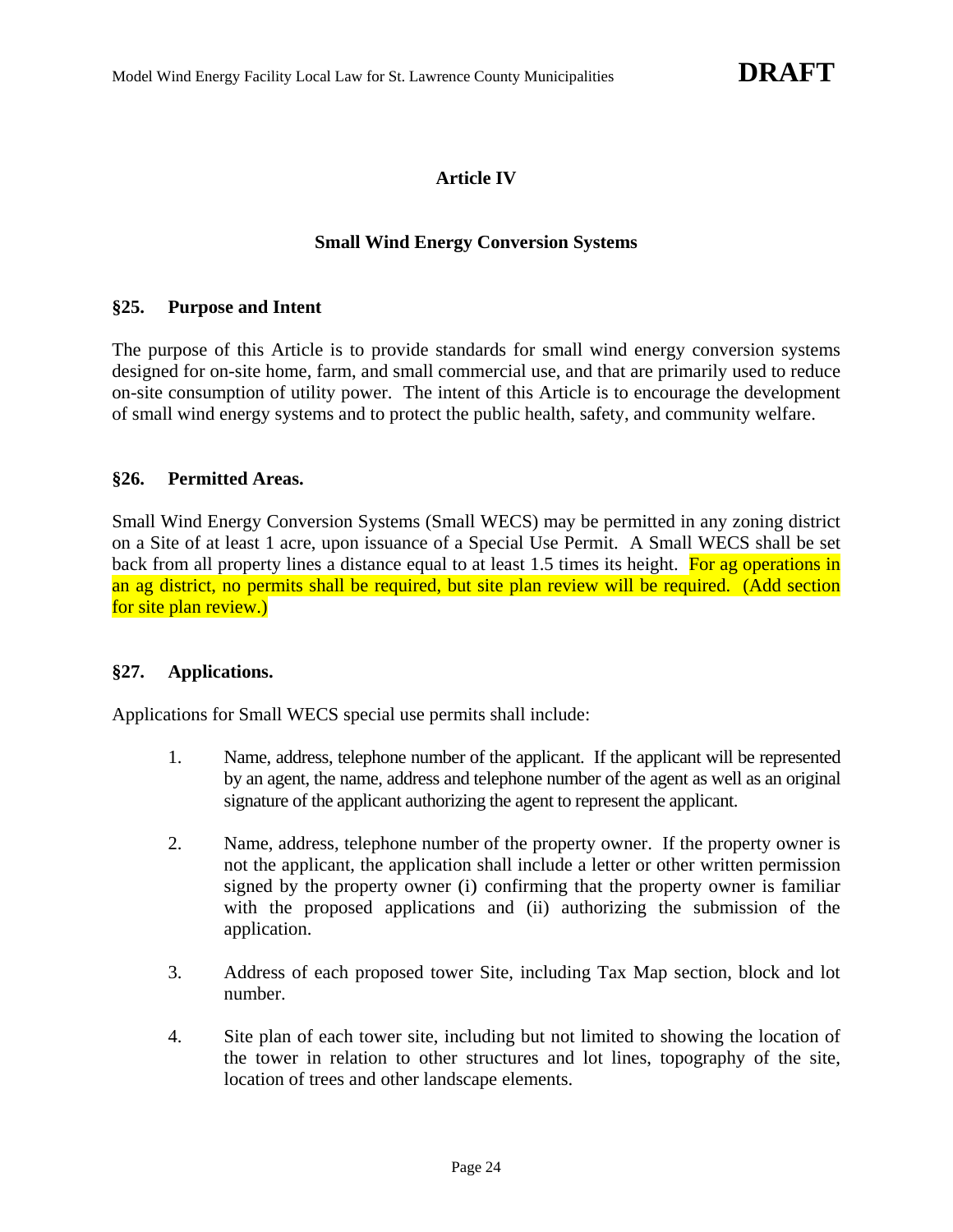# **Article IV**

#### **Small Wind Energy Conversion Systems**

#### **§25. Purpose and Intent**

The purpose of this Article is to provide standards for small wind energy conversion systems designed for on-site home, farm, and small commercial use, and that are primarily used to reduce on-site consumption of utility power. The intent of this Article is to encourage the development of small wind energy systems and to protect the public health, safety, and community welfare.

### **§26. Permitted Areas.**

Small Wind Energy Conversion Systems (Small WECS) may be permitted in any zoning district on a Site of at least 1 acre, upon issuance of a Special Use Permit. A Small WECS shall be set back from all property lines a distance equal to at least 1.5 times its height. For ag operations in an ag district, no permits shall be required, but site plan review will be required. (Add section for site plan review.)

### **§27. Applications.**

Applications for Small WECS special use permits shall include:

- 1. Name, address, telephone number of the applicant. If the applicant will be represented by an agent, the name, address and telephone number of the agent as well as an original signature of the applicant authorizing the agent to represent the applicant.
- 2. Name, address, telephone number of the property owner. If the property owner is not the applicant, the application shall include a letter or other written permission signed by the property owner (i) confirming that the property owner is familiar with the proposed applications and (ii) authorizing the submission of the application.
- 3. Address of each proposed tower Site, including Tax Map section, block and lot number.
- 4. Site plan of each tower site, including but not limited to showing the location of the tower in relation to other structures and lot lines, topography of the site, location of trees and other landscape elements.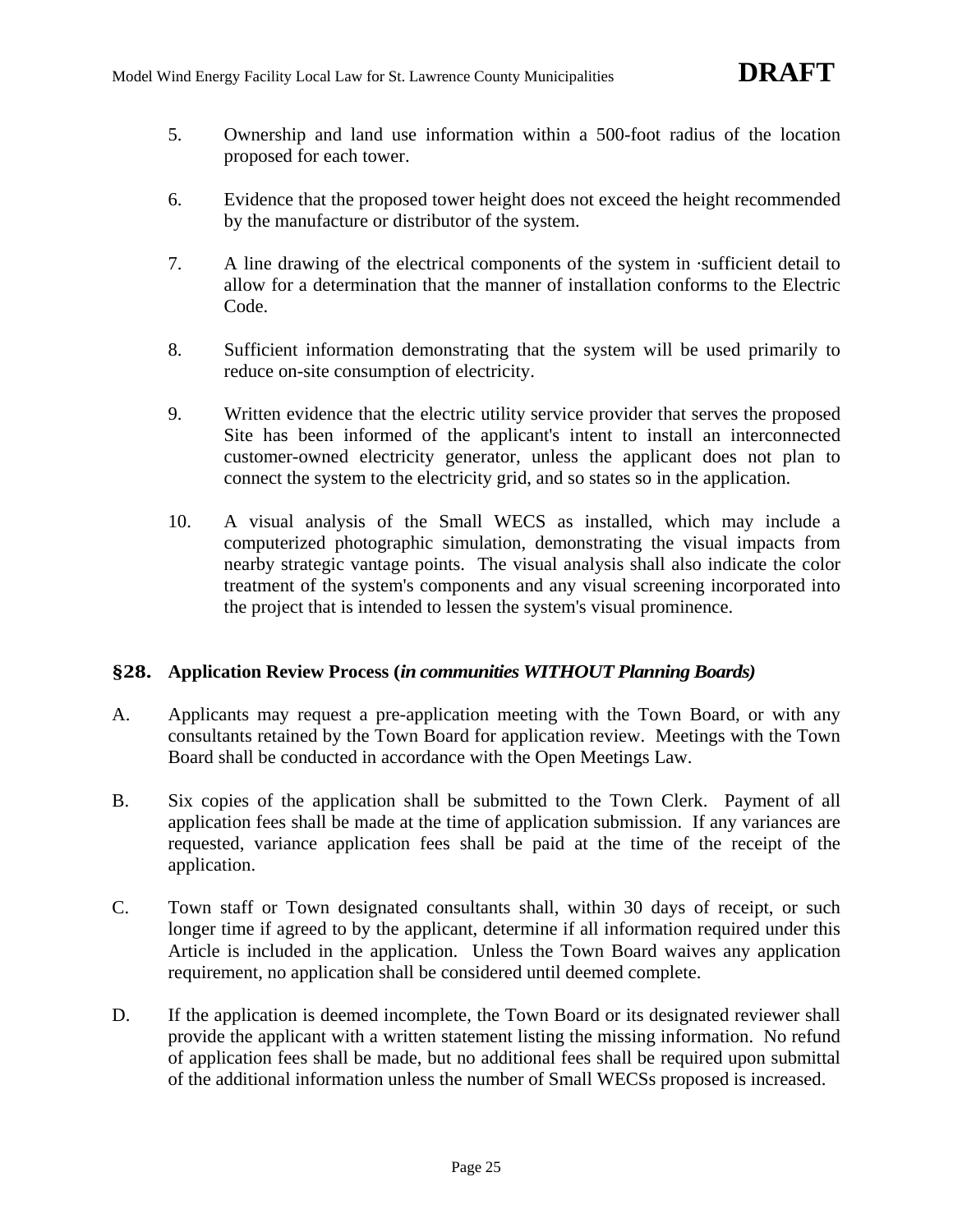- 5. Ownership and land use information within a 500-foot radius of the location proposed for each tower.
- 6. Evidence that the proposed tower height does not exceed the height recommended by the manufacture or distributor of the system.
- 7. A line drawing of the electrical components of the system in ·sufficient detail to allow for a determination that the manner of installation conforms to the Electric Code.
- 8. Sufficient information demonstrating that the system will be used primarily to reduce on-site consumption of electricity.
- 9. Written evidence that the electric utility service provider that serves the proposed Site has been informed of the applicant's intent to install an interconnected customer-owned electricity generator, unless the applicant does not plan to connect the system to the electricity grid, and so states so in the application.
- 10. A visual analysis of the Small WECS as installed, which may include a computerized photographic simulation, demonstrating the visual impacts from nearby strategic vantage points. The visual analysis shall also indicate the color treatment of the system's components and any visual screening incorporated into the project that is intended to lessen the system's visual prominence.

# **§28. Application Review Process (***in communities WITHOUT Planning Boards)*

- A. Applicants may request a pre-application meeting with the Town Board, or with any consultants retained by the Town Board for application review. Meetings with the Town Board shall be conducted in accordance with the Open Meetings Law.
- B. Six copies of the application shall be submitted to the Town Clerk. Payment of all application fees shall be made at the time of application submission. If any variances are requested, variance application fees shall be paid at the time of the receipt of the application.
- C. Town staff or Town designated consultants shall, within 30 days of receipt, or such longer time if agreed to by the applicant, determine if all information required under this Article is included in the application. Unless the Town Board waives any application requirement, no application shall be considered until deemed complete.
- D. If the application is deemed incomplete, the Town Board or its designated reviewer shall provide the applicant with a written statement listing the missing information. No refund of application fees shall be made, but no additional fees shall be required upon submittal of the additional information unless the number of Small WECSs proposed is increased.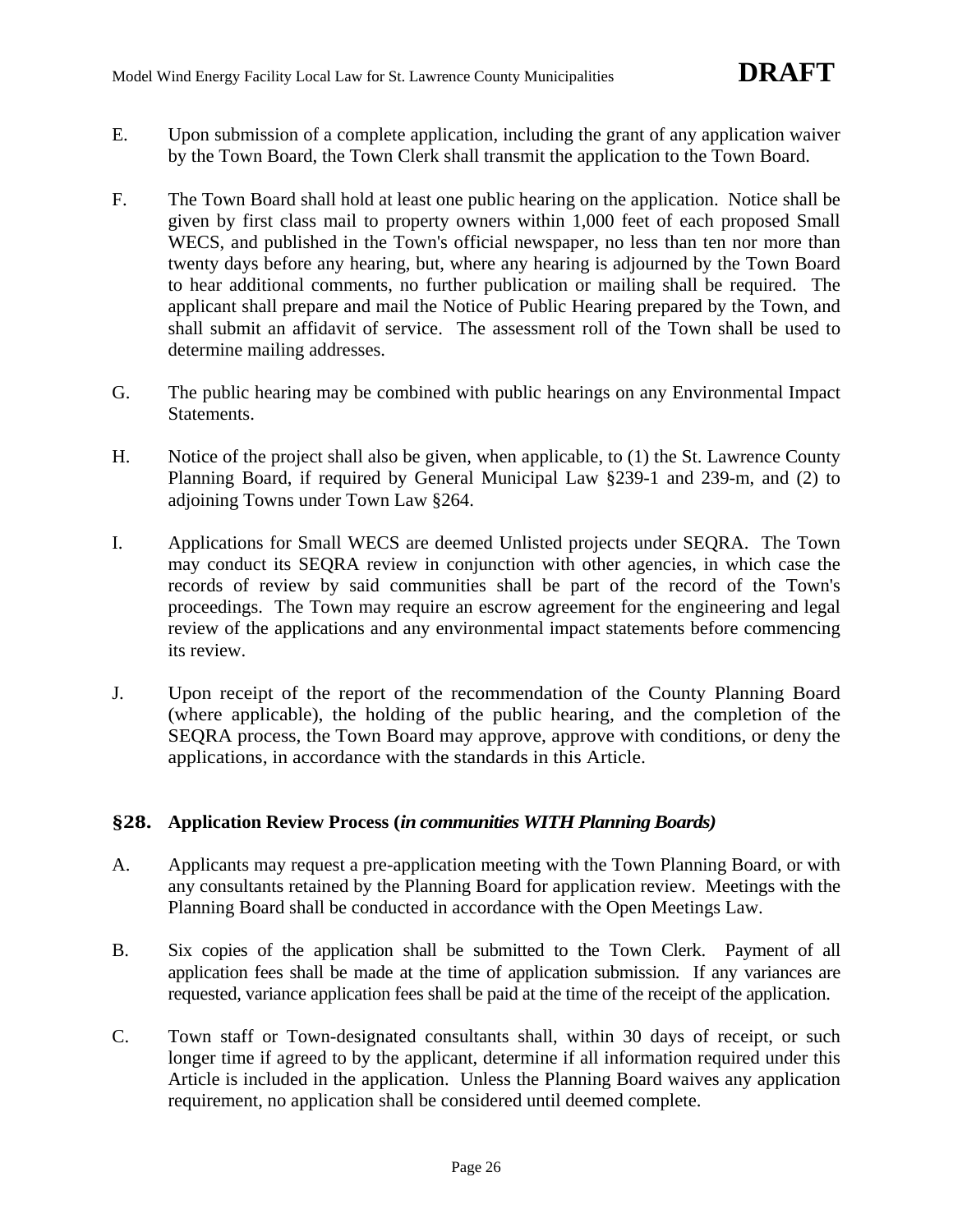- E. Upon submission of a complete application, including the grant of any application waiver by the Town Board, the Town Clerk shall transmit the application to the Town Board.
- F. The Town Board shall hold at least one public hearing on the application. Notice shall be given by first class mail to property owners within 1,000 feet of each proposed Small WECS, and published in the Town's official newspaper, no less than ten nor more than twenty days before any hearing, but, where any hearing is adjourned by the Town Board to hear additional comments, no further publication or mailing shall be required. The applicant shall prepare and mail the Notice of Public Hearing prepared by the Town, and shall submit an affidavit of service. The assessment roll of the Town shall be used to determine mailing addresses.
- G. The public hearing may be combined with public hearings on any Environmental Impact Statements.
- H. Notice of the project shall also be given, when applicable, to (1) the St. Lawrence County Planning Board, if required by General Municipal Law §239-1 and 239-m, and (2) to adjoining Towns under Town Law §264.
- I. Applications for Small WECS are deemed Unlisted projects under SEQRA. The Town may conduct its SEQRA review in conjunction with other agencies, in which case the records of review by said communities shall be part of the record of the Town's proceedings. The Town may require an escrow agreement for the engineering and legal review of the applications and any environmental impact statements before commencing its review.
- J. Upon receipt of the report of the recommendation of the County Planning Board (where applicable), the holding of the public hearing, and the completion of the SEQRA process, the Town Board may approve, approve with conditions, or deny the applications, in accordance with the standards in this Article.

### **§28. Application Review Process (***in communities WITH Planning Boards)*

- A. Applicants may request a pre-application meeting with the Town Planning Board, or with any consultants retained by the Planning Board for application review. Meetings with the Planning Board shall be conducted in accordance with the Open Meetings Law.
- B. Six copies of the application shall be submitted to the Town Clerk. Payment of all application fees shall be made at the time of application submission. If any variances are requested, variance application fees shall be paid at the time of the receipt of the application.
- C. Town staff or Town-designated consultants shall, within 30 days of receipt, or such longer time if agreed to by the applicant, determine if all information required under this Article is included in the application. Unless the Planning Board waives any application requirement, no application shall be considered until deemed complete.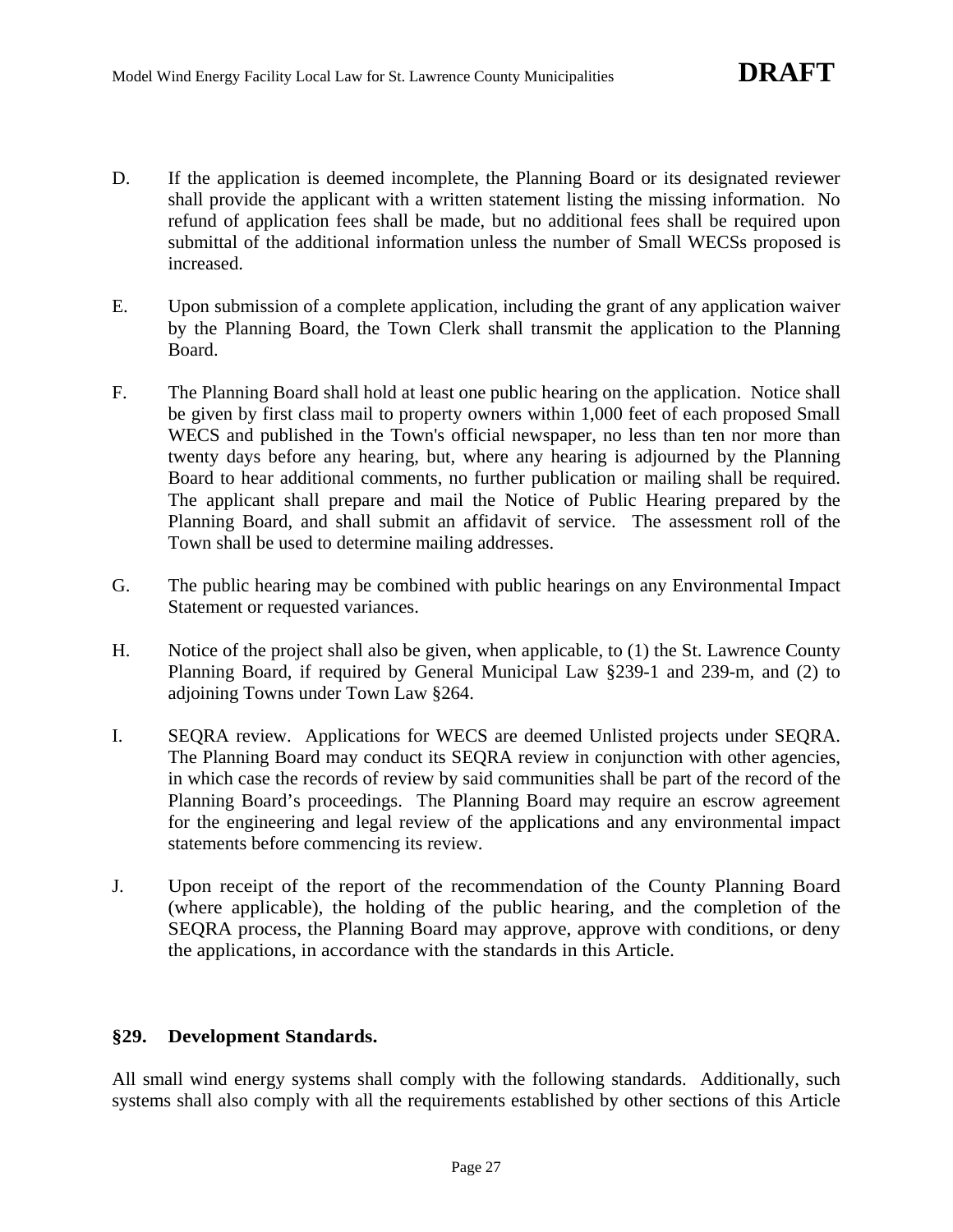- D. If the application is deemed incomplete, the Planning Board or its designated reviewer shall provide the applicant with a written statement listing the missing information. No refund of application fees shall be made, but no additional fees shall be required upon submittal of the additional information unless the number of Small WECSs proposed is increased.
- E. Upon submission of a complete application, including the grant of any application waiver by the Planning Board, the Town Clerk shall transmit the application to the Planning Board.
- F. The Planning Board shall hold at least one public hearing on the application. Notice shall be given by first class mail to property owners within 1,000 feet of each proposed Small WECS and published in the Town's official newspaper, no less than ten nor more than twenty days before any hearing, but, where any hearing is adjourned by the Planning Board to hear additional comments, no further publication or mailing shall be required. The applicant shall prepare and mail the Notice of Public Hearing prepared by the Planning Board, and shall submit an affidavit of service. The assessment roll of the Town shall be used to determine mailing addresses.
- G. The public hearing may be combined with public hearings on any Environmental Impact Statement or requested variances.
- H. Notice of the project shall also be given, when applicable, to (1) the St. Lawrence County Planning Board, if required by General Municipal Law §239-1 and 239-m, and (2) to adjoining Towns under Town Law §264.
- I. SEQRA review. Applications for WECS are deemed Unlisted projects under SEQRA. The Planning Board may conduct its SEQRA review in conjunction with other agencies, in which case the records of review by said communities shall be part of the record of the Planning Board's proceedings. The Planning Board may require an escrow agreement for the engineering and legal review of the applications and any environmental impact statements before commencing its review.
- J. Upon receipt of the report of the recommendation of the County Planning Board (where applicable), the holding of the public hearing, and the completion of the SEQRA process, the Planning Board may approve, approve with conditions, or deny the applications, in accordance with the standards in this Article.

### **§29. Development Standards.**

All small wind energy systems shall comply with the following standards. Additionally, such systems shall also comply with all the requirements established by other sections of this Article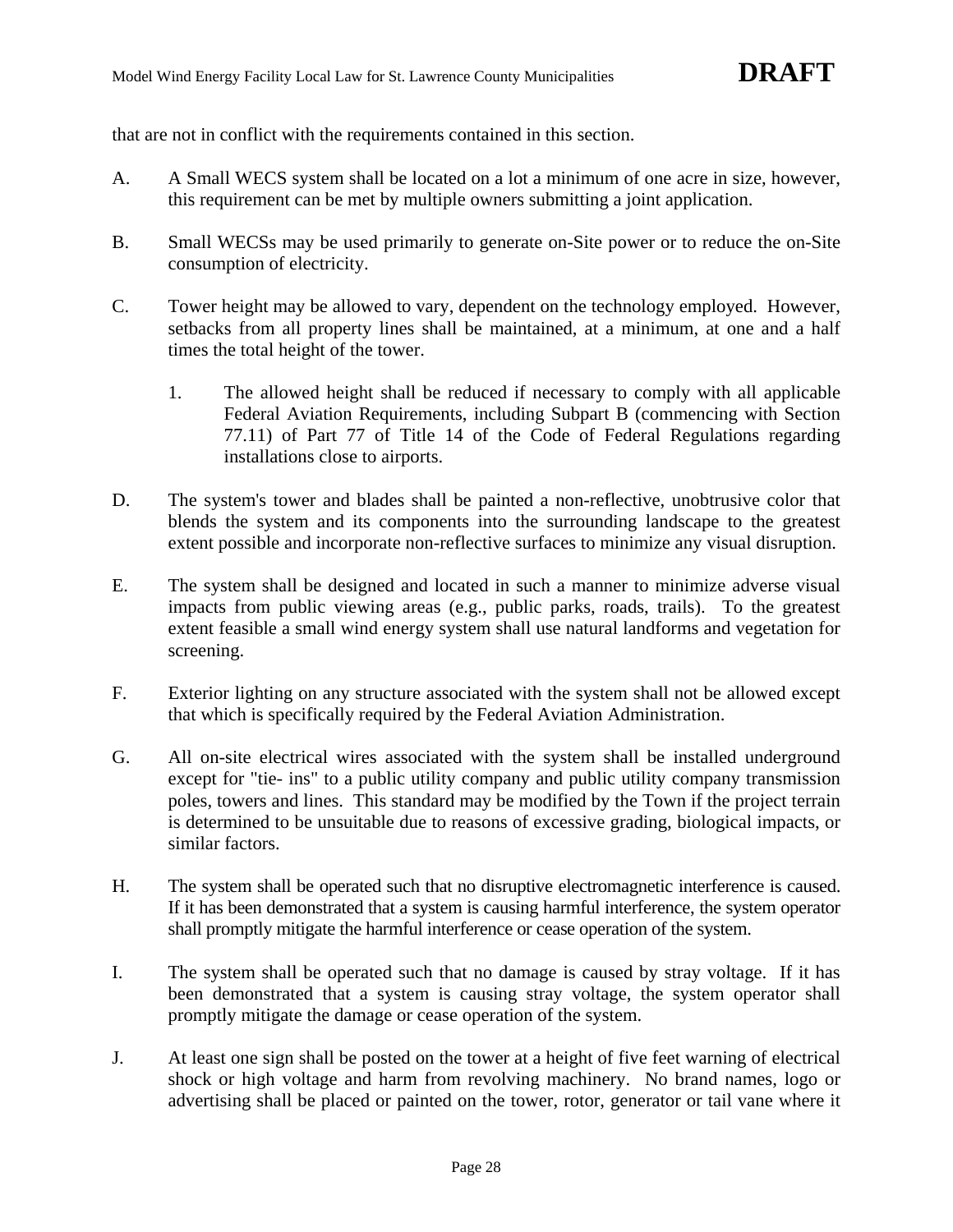that are not in conflict with the requirements contained in this section.

- A. A Small WECS system shall be located on a lot a minimum of one acre in size, however, this requirement can be met by multiple owners submitting a joint application.
- B. Small WECSs may be used primarily to generate on-Site power or to reduce the on-Site consumption of electricity.
- C. Tower height may be allowed to vary, dependent on the technology employed. However, setbacks from all property lines shall be maintained, at a minimum, at one and a half times the total height of the tower.
	- 1. The allowed height shall be reduced if necessary to comply with all applicable Federal Aviation Requirements, including Subpart B (commencing with Section 77.11) of Part 77 of Title 14 of the Code of Federal Regulations regarding installations close to airports.
- D. The system's tower and blades shall be painted a non-reflective, unobtrusive color that blends the system and its components into the surrounding landscape to the greatest extent possible and incorporate non-reflective surfaces to minimize any visual disruption.
- E. The system shall be designed and located in such a manner to minimize adverse visual impacts from public viewing areas (e.g., public parks, roads, trails). To the greatest extent feasible a small wind energy system shall use natural landforms and vegetation for screening.
- F. Exterior lighting on any structure associated with the system shall not be allowed except that which is specifically required by the Federal Aviation Administration.
- G. All on-site electrical wires associated with the system shall be installed underground except for "tie- ins" to a public utility company and public utility company transmission poles, towers and lines. This standard may be modified by the Town if the project terrain is determined to be unsuitable due to reasons of excessive grading, biological impacts, or similar factors.
- H. The system shall be operated such that no disruptive electromagnetic interference is caused. If it has been demonstrated that a system is causing harmful interference, the system operator shall promptly mitigate the harmful interference or cease operation of the system.
- I. The system shall be operated such that no damage is caused by stray voltage. If it has been demonstrated that a system is causing stray voltage, the system operator shall promptly mitigate the damage or cease operation of the system.
- J. At least one sign shall be posted on the tower at a height of five feet warning of electrical shock or high voltage and harm from revolving machinery. No brand names, logo or advertising shall be placed or painted on the tower, rotor, generator or tail vane where it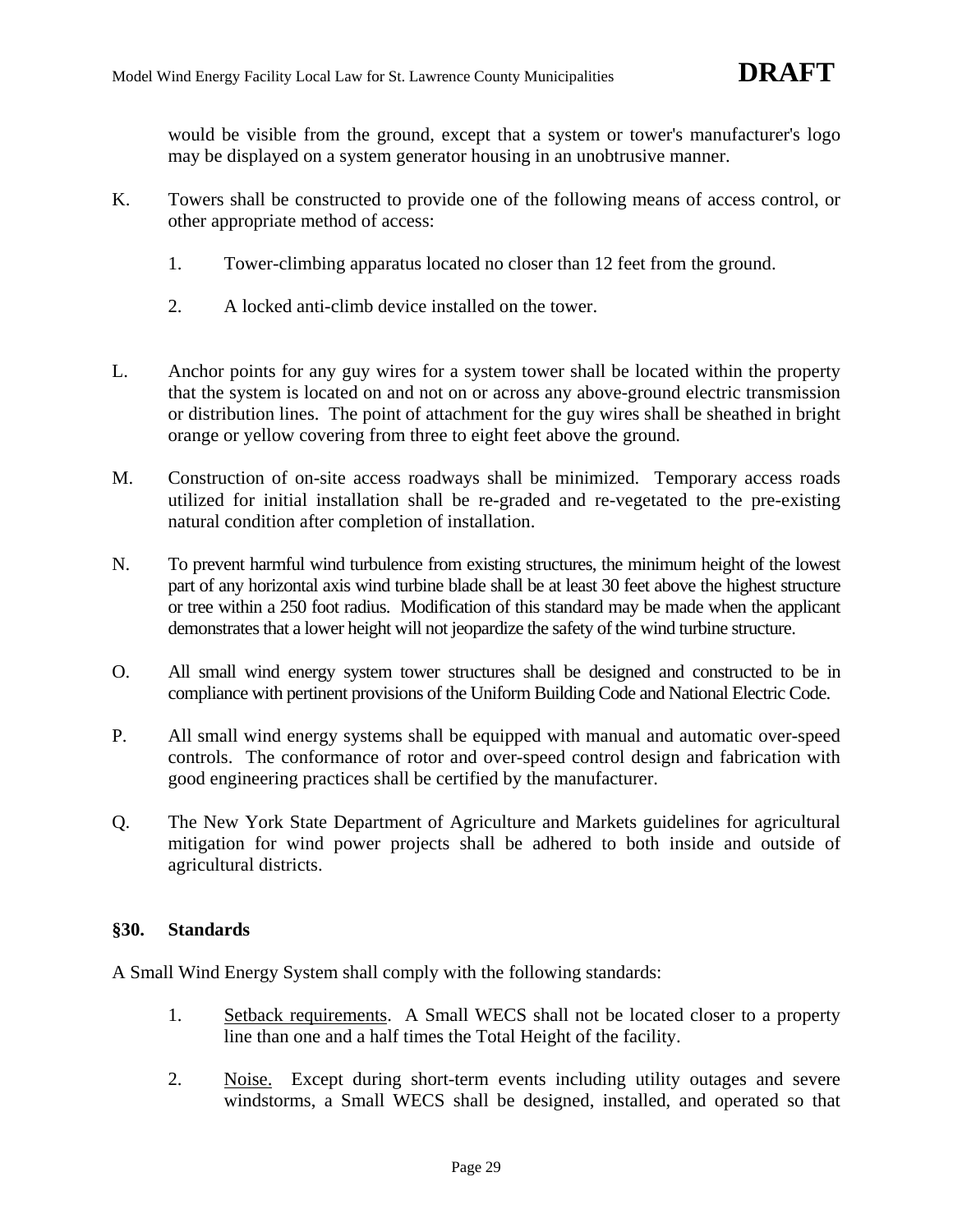would be visible from the ground, except that a system or tower's manufacturer's logo may be displayed on a system generator housing in an unobtrusive manner.

- K. Towers shall be constructed to provide one of the following means of access control, or other appropriate method of access:
	- 1. Tower-climbing apparatus located no closer than 12 feet from the ground.
	- 2. A locked anti-climb device installed on the tower.
- L. Anchor points for any guy wires for a system tower shall be located within the property that the system is located on and not on or across any above-ground electric transmission or distribution lines. The point of attachment for the guy wires shall be sheathed in bright orange or yellow covering from three to eight feet above the ground.
- M. Construction of on-site access roadways shall be minimized. Temporary access roads utilized for initial installation shall be re-graded and re-vegetated to the pre-existing natural condition after completion of installation.
- N. To prevent harmful wind turbulence from existing structures, the minimum height of the lowest part of any horizontal axis wind turbine blade shall be at least 30 feet above the highest structure or tree within a 250 foot radius. Modification of this standard may be made when the applicant demonstrates that a lower height will not jeopardize the safety of the wind turbine structure.
- O. All small wind energy system tower structures shall be designed and constructed to be in compliance with pertinent provisions of the Uniform Building Code and National Electric Code.
- P. All small wind energy systems shall be equipped with manual and automatic over-speed controls. The conformance of rotor and over-speed control design and fabrication with good engineering practices shall be certified by the manufacturer.
- Q. The New York State Department of Agriculture and Markets guidelines for agricultural mitigation for wind power projects shall be adhered to both inside and outside of agricultural districts.

### **§30. Standards**

A Small Wind Energy System shall comply with the following standards:

- 1. Setback requirements. A Small WECS shall not be located closer to a property line than one and a half times the Total Height of the facility.
- 2. Noise. Except during short-term events including utility outages and severe windstorms, a Small WECS shall be designed, installed, and operated so that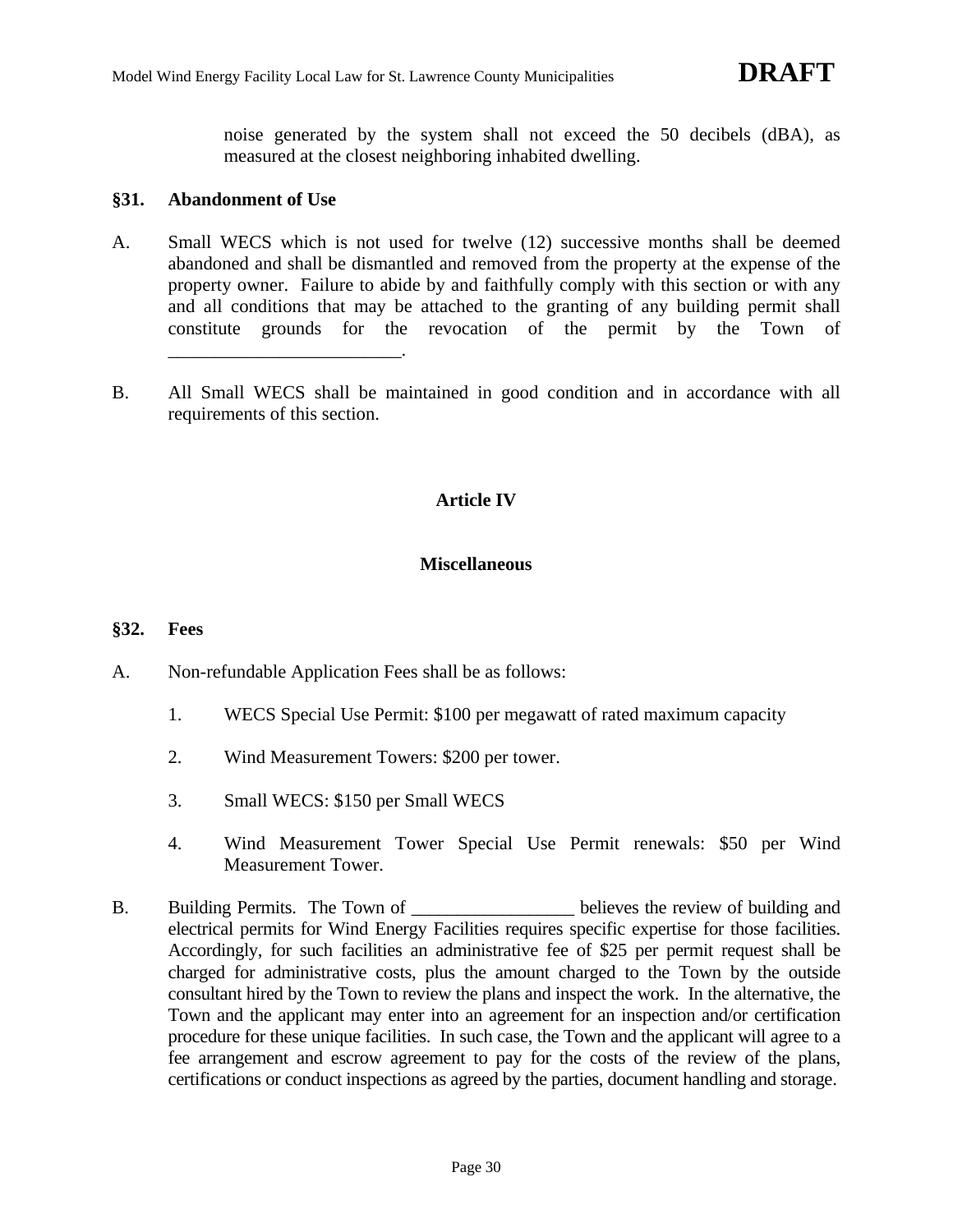noise generated by the system shall not exceed the 50 decibels (dBA), as measured at the closest neighboring inhabited dwelling.

#### **§31. Abandonment of Use**

- A. Small WECS which is not used for twelve (12) successive months shall be deemed abandoned and shall be dismantled and removed from the property at the expense of the property owner. Failure to abide by and faithfully comply with this section or with any and all conditions that may be attached to the granting of any building permit shall constitute grounds for the revocation of the permit by the Town of \_\_\_\_\_\_\_\_\_\_\_\_\_\_\_\_\_\_\_\_\_\_\_\_\_.
- B. All Small WECS shall be maintained in good condition and in accordance with all requirements of this section.

# **Article IV**

# **Miscellaneous**

### **§32. Fees**

- A. Non-refundable Application Fees shall be as follows:
	- 1. WECS Special Use Permit: \$100 per megawatt of rated maximum capacity
	- 2. Wind Measurement Towers: \$200 per tower.
	- 3. Small WECS: \$150 per Small WECS
	- 4. Wind Measurement Tower Special Use Permit renewals: \$50 per Wind Measurement Tower.
- B. Building Permits. The Town of the series believes the review of building and electrical permits for Wind Energy Facilities requires specific expertise for those facilities. Accordingly, for such facilities an administrative fee of \$25 per permit request shall be charged for administrative costs, plus the amount charged to the Town by the outside consultant hired by the Town to review the plans and inspect the work. In the alternative, the Town and the applicant may enter into an agreement for an inspection and/or certification procedure for these unique facilities. In such case, the Town and the applicant will agree to a fee arrangement and escrow agreement to pay for the costs of the review of the plans, certifications or conduct inspections as agreed by the parties, document handling and storage.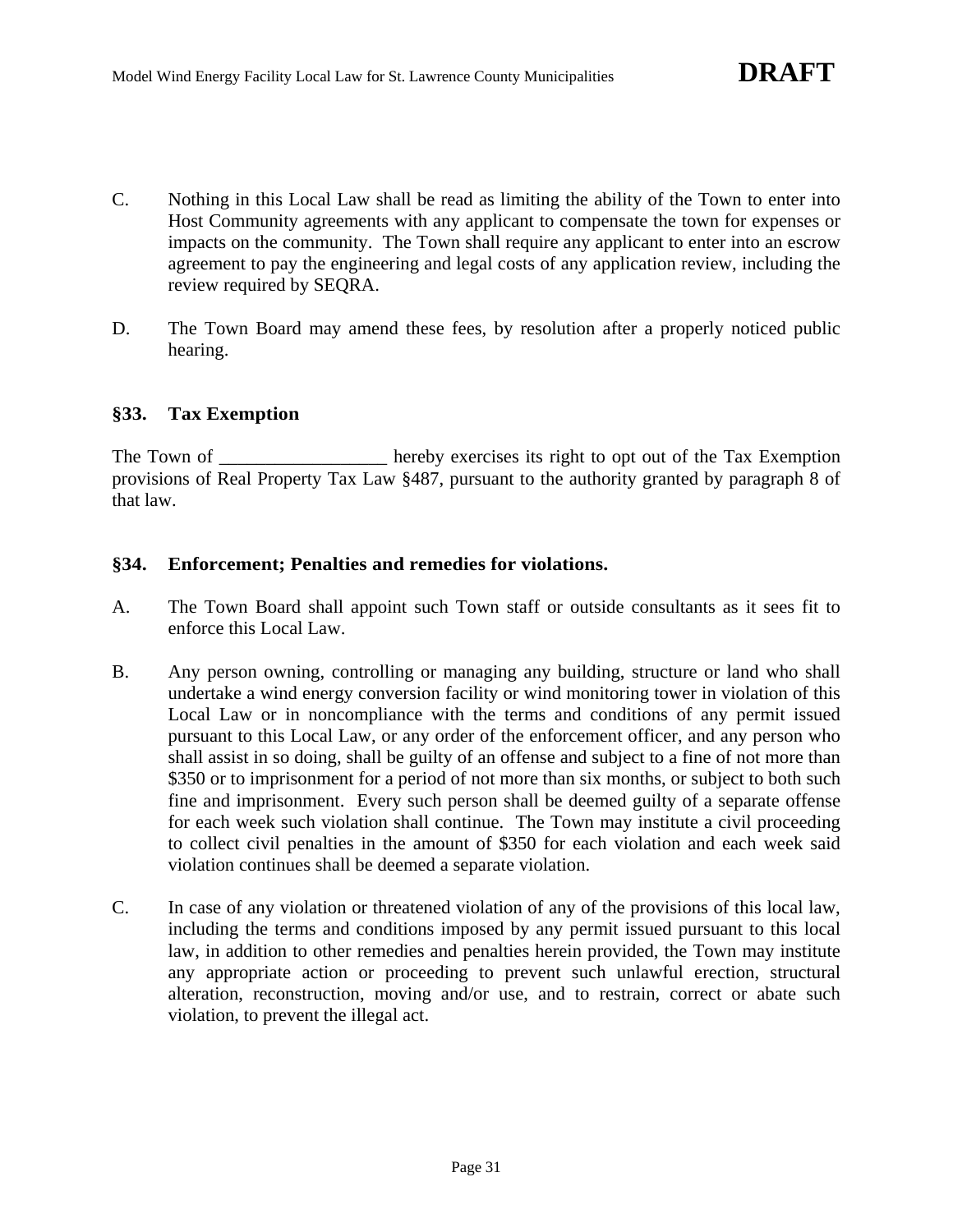- C. Nothing in this Local Law shall be read as limiting the ability of the Town to enter into Host Community agreements with any applicant to compensate the town for expenses or impacts on the community. The Town shall require any applicant to enter into an escrow agreement to pay the engineering and legal costs of any application review, including the review required by SEQRA.
- D. The Town Board may amend these fees, by resolution after a properly noticed public hearing.

# **§33. Tax Exemption**

The Town of The Town of hereby exercises its right to opt out of the Tax Exemption provisions of Real Property Tax Law §487, pursuant to the authority granted by paragraph 8 of that law.

# **§34. Enforcement; Penalties and remedies for violations.**

- A. The Town Board shall appoint such Town staff or outside consultants as it sees fit to enforce this Local Law.
- B. Any person owning, controlling or managing any building, structure or land who shall undertake a wind energy conversion facility or wind monitoring tower in violation of this Local Law or in noncompliance with the terms and conditions of any permit issued pursuant to this Local Law, or any order of the enforcement officer, and any person who shall assist in so doing, shall be guilty of an offense and subject to a fine of not more than \$350 or to imprisonment for a period of not more than six months, or subject to both such fine and imprisonment. Every such person shall be deemed guilty of a separate offense for each week such violation shall continue. The Town may institute a civil proceeding to collect civil penalties in the amount of \$350 for each violation and each week said violation continues shall be deemed a separate violation.
- C. In case of any violation or threatened violation of any of the provisions of this local law, including the terms and conditions imposed by any permit issued pursuant to this local law, in addition to other remedies and penalties herein provided, the Town may institute any appropriate action or proceeding to prevent such unlawful erection, structural alteration, reconstruction, moving and/or use, and to restrain, correct or abate such violation, to prevent the illegal act.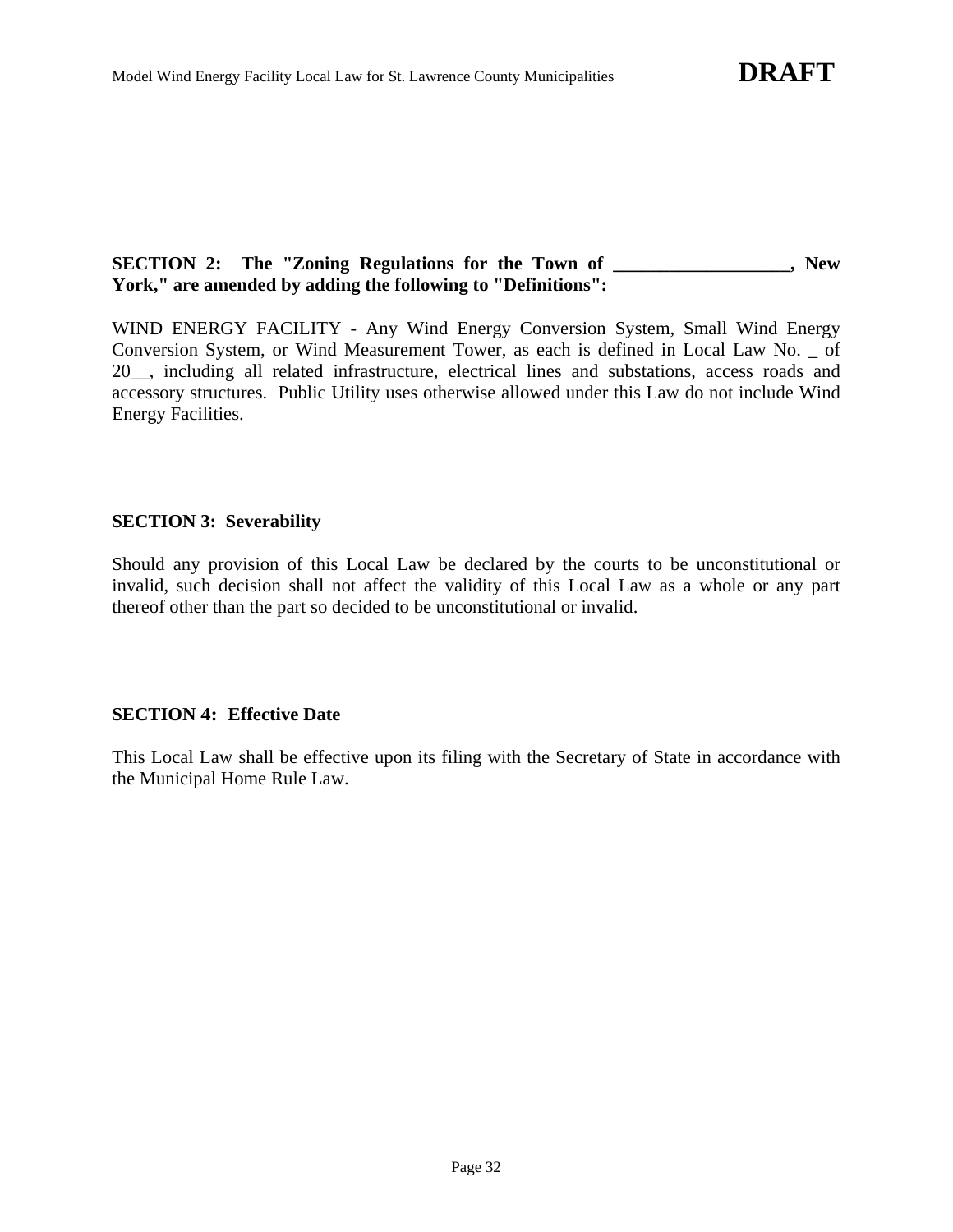# **SECTION 2: The "Zoning Regulations for the Town of \_\_\_\_\_\_\_\_\_\_\_\_\_\_\_\_\_\_\_, New York," are amended by adding the following to "Definitions":**

WIND ENERGY FACILITY - Any Wind Energy Conversion System, Small Wind Energy Conversion System, or Wind Measurement Tower, as each is defined in Local Law No. \_ of 20\_\_, including all related infrastructure, electrical lines and substations, access roads and accessory structures. Public Utility uses otherwise allowed under this Law do not include Wind Energy Facilities.

# **SECTION 3: Severability**

Should any provision of this Local Law be declared by the courts to be unconstitutional or invalid, such decision shall not affect the validity of this Local Law as a whole or any part thereof other than the part so decided to be unconstitutional or invalid.

# **SECTION 4: Effective Date**

This Local Law shall be effective upon its filing with the Secretary of State in accordance with the Municipal Home Rule Law.